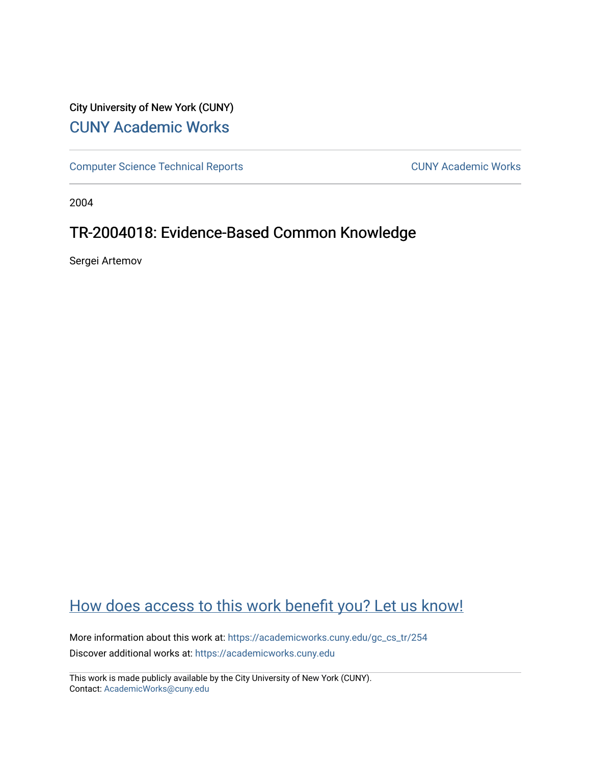## City University of New York (CUNY) [CUNY Academic Works](https://academicworks.cuny.edu/)

[Computer Science Technical Reports](https://academicworks.cuny.edu/gc_cs_tr) **CUNY Academic Works** CUNY Academic Works

2004

## TR-2004018: Evidence-Based Common Knowledge

Sergei Artemov

# [How does access to this work benefit you? Let us know!](http://ols.cuny.edu/academicworks/?ref=https://academicworks.cuny.edu/gc_cs_tr/254)

More information about this work at: [https://academicworks.cuny.edu/gc\\_cs\\_tr/254](https://academicworks.cuny.edu/gc_cs_tr/254)  Discover additional works at: [https://academicworks.cuny.edu](https://academicworks.cuny.edu/?)

This work is made publicly available by the City University of New York (CUNY). Contact: [AcademicWorks@cuny.edu](mailto:AcademicWorks@cuny.edu)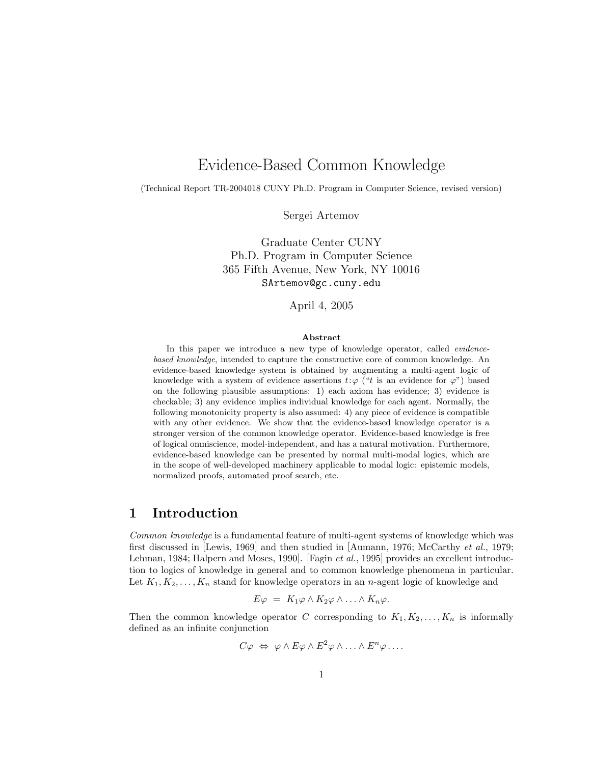## Evidence-Based Common Knowledge

(Technical Report TR-2004018 CUNY Ph.D. Program in Computer Science, revised version)

Sergei Artemov

Graduate Center CUNY Ph.D. Program in Computer Science 365 Fifth Avenue, New York, NY 10016 SArtemov@gc.cuny.edu

April 4, 2005

#### Abstract

In this paper we introduce a new type of knowledge operator, called *evidence*based knowledge, intended to capture the constructive core of common knowledge. An evidence-based knowledge system is obtained by augmenting a multi-agent logic of knowledge with a system of evidence assertions  $t:\varphi$  ("t is an evidence for  $\varphi$ ") based on the following plausible assumptions: 1) each axiom has evidence; 3) evidence is checkable; 3) any evidence implies individual knowledge for each agent. Normally, the following monotonicity property is also assumed: 4) any piece of evidence is compatible with any other evidence. We show that the evidence-based knowledge operator is a stronger version of the common knowledge operator. Evidence-based knowledge is free of logical omniscience, model-independent, and has a natural motivation. Furthermore, evidence-based knowledge can be presented by normal multi-modal logics, which are in the scope of well-developed machinery applicable to modal logic: epistemic models, normalized proofs, automated proof search, etc.

#### 1 Introduction

Common knowledge is a fundamental feature of multi-agent systems of knowledge which was first discussed in [Lewis, 1969] and then studied in [Aumann, 1976; McCarthy et al., 1979; Lehman, 1984; Halpern and Moses, 1990. [Fagin et al., 1995] provides an excellent introduction to logics of knowledge in general and to common knowledge phenomena in particular. Let  $K_1, K_2, \ldots, K_n$  stand for knowledge operators in an *n*-agent logic of knowledge and

$$
E\varphi = K_1\varphi \wedge K_2\varphi \wedge \ldots \wedge K_n\varphi.
$$

Then the common knowledge operator C corresponding to  $K_1, K_2, \ldots, K_n$  is informally defined as an infinite conjunction

$$
C\varphi \Leftrightarrow \varphi \wedge E\varphi \wedge E^2\varphi \wedge \ldots \wedge E^n\varphi \ldots
$$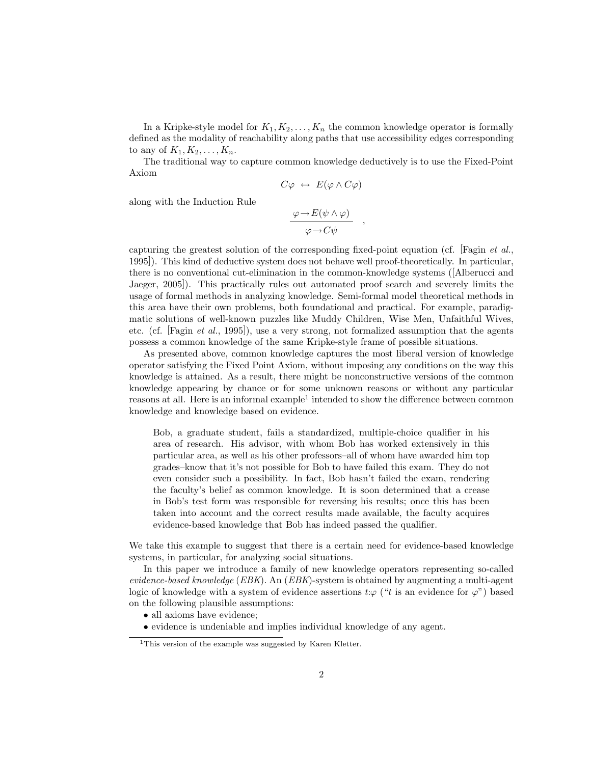In a Kripke-style model for  $K_1, K_2, \ldots, K_n$  the common knowledge operator is formally defined as the modality of reachability along paths that use accessibility edges corresponding to any of  $K_1, K_2, \ldots, K_n$ .

The traditional way to capture common knowledge deductively is to use the Fixed-Point Axiom

$$
C\varphi \ \leftrightarrow \ E(\varphi \wedge C\varphi)
$$

along with the Induction Rule

$$
\frac{\varphi \to E(\psi \land \varphi)}{\varphi \to C\psi}
$$

,

capturing the greatest solution of the corresponding fixed-point equation (cf. [Fagin et al., 1995]). This kind of deductive system does not behave well proof-theoretically. In particular, there is no conventional cut-elimination in the common-knowledge systems ([Alberucci and Jaeger, 2005]). This practically rules out automated proof search and severely limits the usage of formal methods in analyzing knowledge. Semi-formal model theoretical methods in this area have their own problems, both foundational and practical. For example, paradigmatic solutions of well-known puzzles like Muddy Children, Wise Men, Unfaithful Wives, etc. (cf. [Fagin *et al.*, 1995]), use a very strong, not formalized assumption that the agents possess a common knowledge of the same Kripke-style frame of possible situations.

As presented above, common knowledge captures the most liberal version of knowledge operator satisfying the Fixed Point Axiom, without imposing any conditions on the way this knowledge is attained. As a result, there might be nonconstructive versions of the common knowledge appearing by chance or for some unknown reasons or without any particular reasons at all. Here is an informal example<sup>1</sup> intended to show the difference between common knowledge and knowledge based on evidence.

Bob, a graduate student, fails a standardized, multiple-choice qualifier in his area of research. His advisor, with whom Bob has worked extensively in this particular area, as well as his other professors–all of whom have awarded him top grades–know that it's not possible for Bob to have failed this exam. They do not even consider such a possibility. In fact, Bob hasn't failed the exam, rendering the faculty's belief as common knowledge. It is soon determined that a crease in Bob's test form was responsible for reversing his results; once this has been taken into account and the correct results made available, the faculty acquires evidence-based knowledge that Bob has indeed passed the qualifier.

We take this example to suggest that there is a certain need for evidence-based knowledge systems, in particular, for analyzing social situations.

In this paper we introduce a family of new knowledge operators representing so-called evidence-based knowledge ( $EBK$ ). An ( $EBK$ )-system is obtained by augmenting a multi-agent logic of knowledge with a system of evidence assertions  $t:\varphi$  ("t is an evidence for  $\varphi$ ") based on the following plausible assumptions:

- all axioms have evidence;
- evidence is undeniable and implies individual knowledge of any agent.

<sup>&</sup>lt;sup>1</sup>This version of the example was suggested by Karen Kletter.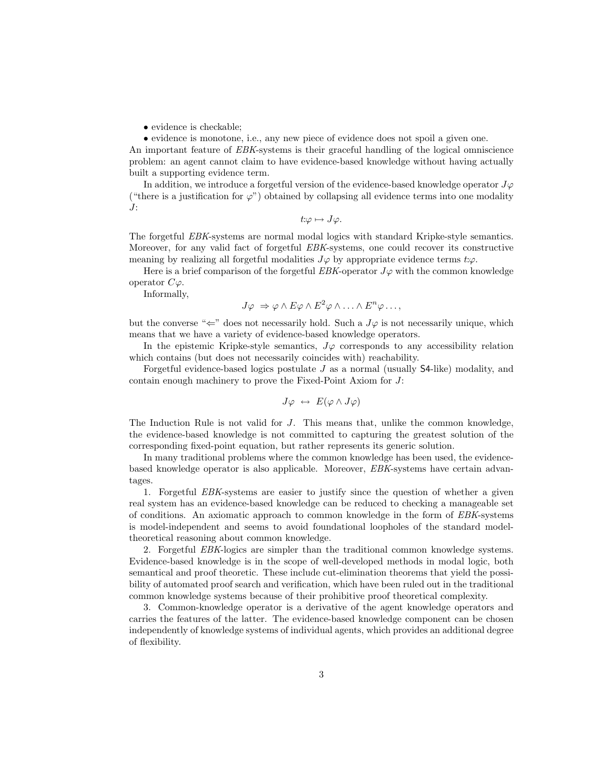• evidence is checkable;

• evidence is monotone, i.e., any new piece of evidence does not spoil a given one.

An important feature of EBK-systems is their graceful handling of the logical omniscience problem: an agent cannot claim to have evidence-based knowledge without having actually built a supporting evidence term.

In addition, we introduce a forgetful version of the evidence-based knowledge operator  $J\varphi$ ("there is a justification for  $\varphi$ ") obtained by collapsing all evidence terms into one modality J:

$$
t:\varphi\mapsto J\varphi.
$$

The forgetful EBK-systems are normal modal logics with standard Kripke-style semantics. Moreover, for any valid fact of forgetful EBK-systems, one could recover its constructive meaning by realizing all forgetful modalities  $J\varphi$  by appropriate evidence terms  $t:\varphi$ .

Here is a brief comparison of the forgetful EBK-operator  $J\varphi$  with the common knowledge operator  $C\varphi$ .

Informally,

$$
J\varphi \Rightarrow \varphi \wedge E\varphi \wedge E^2\varphi \wedge \ldots \wedge E^n\varphi \ldots,
$$

but the converse " $\Leftarrow$ " does not necessarily hold. Such a  $J\varphi$  is not necessarily unique, which means that we have a variety of evidence-based knowledge operators.

In the epistemic Kripke-style semantics,  $J\varphi$  corresponds to any accessibility relation which contains (but does not necessarily coincides with) reachability.

Forgetful evidence-based logics postulate J as a normal (usually S4-like) modality, and contain enough machinery to prove the Fixed-Point Axiom for J:

$$
J\varphi \ \leftrightarrow \ E(\varphi \wedge J\varphi)
$$

The Induction Rule is not valid for J. This means that, unlike the common knowledge, the evidence-based knowledge is not committed to capturing the greatest solution of the corresponding fixed-point equation, but rather represents its generic solution.

In many traditional problems where the common knowledge has been used, the evidencebased knowledge operator is also applicable. Moreover, EBK-systems have certain advantages.

1. Forgetful EBK-systems are easier to justify since the question of whether a given real system has an evidence-based knowledge can be reduced to checking a manageable set of conditions. An axiomatic approach to common knowledge in the form of EBK-systems is model-independent and seems to avoid foundational loopholes of the standard modeltheoretical reasoning about common knowledge.

2. Forgetful EBK-logics are simpler than the traditional common knowledge systems. Evidence-based knowledge is in the scope of well-developed methods in modal logic, both semantical and proof theoretic. These include cut-elimination theorems that yield the possibility of automated proof search and verification, which have been ruled out in the traditional common knowledge systems because of their prohibitive proof theoretical complexity.

3. Common-knowledge operator is a derivative of the agent knowledge operators and carries the features of the latter. The evidence-based knowledge component can be chosen independently of knowledge systems of individual agents, which provides an additional degree of flexibility.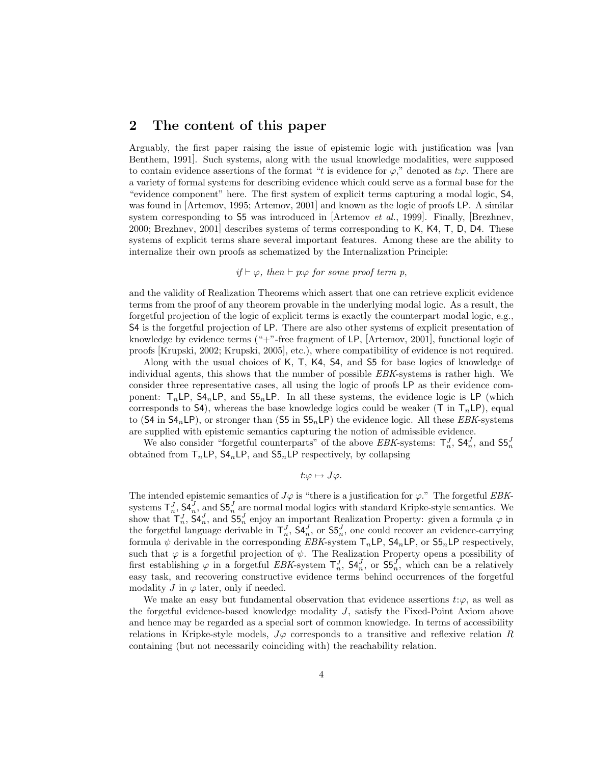## 2 The content of this paper

Arguably, the first paper raising the issue of epistemic logic with justification was [van Benthem, 1991]. Such systems, along with the usual knowledge modalities, were supposed to contain evidence assertions of the format "t is evidence for  $\varphi$ ," denoted as t: $\varphi$ . There are a variety of formal systems for describing evidence which could serve as a formal base for the "evidence component" here. The first system of explicit terms capturing a modal logic, S4, was found in [Artemov, 1995; Artemov, 2001] and known as the logic of proofs LP. A similar system corresponding to 55 was introduced in [Artemov *et al.*, 1999]. Finally, [Brezhnev, 2000; Brezhnev, 2001] describes systems of terms corresponding to K, K4, T, D, D4. These systems of explicit terms share several important features. Among these are the ability to internalize their own proofs as schematized by the Internalization Principle:

#### if  $\vdash \varphi$ , then  $\vdash p:\varphi$  for some proof term p,

and the validity of Realization Theorems which assert that one can retrieve explicit evidence terms from the proof of any theorem provable in the underlying modal logic. As a result, the forgetful projection of the logic of explicit terms is exactly the counterpart modal logic, e.g., S4 is the forgetful projection of LP. There are also other systems of explicit presentation of knowledge by evidence terms ("+"-free fragment of LP, [Artemov, 2001], functional logic of proofs [Krupski, 2002; Krupski, 2005], etc.), where compatibility of evidence is not required.

Along with the usual choices of K, T, K4, S4, and S5 for base logics of knowledge of individual agents, this shows that the number of possible EBK-systems is rather high. We consider three representative cases, all using the logic of proofs LP as their evidence component:  $T_n \text{LP}$ ,  $S4_n \text{LP}$ , and  $S5_n \text{LP}$ . In all these systems, the evidence logic is LP (which corresponds to S4), whereas the base knowledge logics could be weaker (T in  $T_n\text{LP}$ ), equal to (S4 in  $SA_nLP$ ), or stronger than (S5 in  $SA_nLP$ ) the evidence logic. All these *EBK*-systems are supplied with epistemic semantics capturing the notion of admissible evidence.

We also consider "forgetful counterparts" of the above EBK-systems:  $\mathsf{T}_n^J$ ,  $\mathsf{S4}_n^J$ , and  $\mathsf{S5}_n^J$ obtained from  $T_n \text{LP}$ ,  $\text{S4}_n \text{LP}$ , and  $\text{S5}_n \text{LP}$  respectively, by collapsing

$$
t:\varphi\mapsto J\varphi.
$$

The intended epistemic semantics of  $J\varphi$  is "there is a justification for  $\varphi$ ." The forgetful EBKsystems  $\mathsf{T}_n^J$ ,  $\mathsf{S4}_n^J$ , and  $\mathsf{S5}_n^J$  are normal modal logics with standard Kripke-style semantics. We show that  $T_n^J$ ,  $\mathsf{S4}_n^J$ , and  $\mathsf{S5}_n^J$  enjoy an important Realization Property: given a formula  $\varphi$  in the forgetful language derivable in  $\mathsf{T}_n^J$ ,  $\mathsf{S4}_n^J$ , or  $\mathsf{S5}_n^J$ , one could recover an evidence-carrying formula  $\psi$  derivable in the corresponding EBK-system  $T_n \text{LP}$ ,  $\text{SA}_n \text{LP}$ , or  $\text{SA}_n \text{LP}$  respectively, such that  $\varphi$  is a forgetful projection of  $\psi$ . The Realization Property opens a possibility of first establishing  $\varphi$  in a forgetful EBK-system  $\mathsf{T}_n^J$ ,  $\mathsf{S4}_n^J$ , or  $\mathsf{S5}_n^J$ , which can be a relatively easy task, and recovering constructive evidence terms behind occurrences of the forgetful modality  $J$  in  $\varphi$  later, only if needed.

We make an easy but fundamental observation that evidence assertions  $t:\varphi$ , as well as the forgetful evidence-based knowledge modality J, satisfy the Fixed-Point Axiom above and hence may be regarded as a special sort of common knowledge. In terms of accessibility relations in Kripke-style models,  $J\varphi$  corresponds to a transitive and reflexive relation R containing (but not necessarily coinciding with) the reachability relation.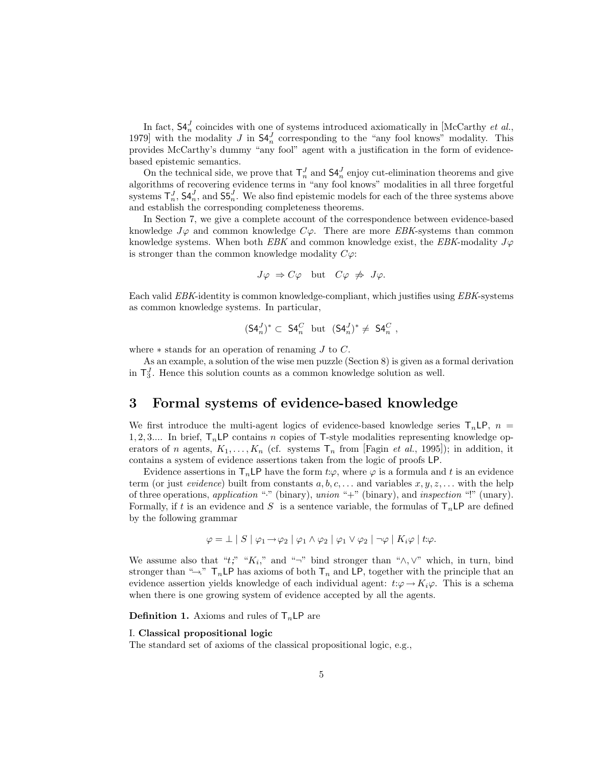In fact,  $\mathsf{S4}_{n}^{J}$  coincides with one of systems introduced axiomatically in [McCarthy *et al.*, 1979] with the modality J in  $\mathsf{S4}_n^J$  corresponding to the "any fool knows" modality. This provides McCarthy's dummy "any fool" agent with a justification in the form of evidencebased epistemic semantics.

On the technical side, we prove that  $\mathsf{T}_{n}^{J}$  and  $\mathsf{S4}_{n}^{J}$  enjoy cut-elimination theorems and give algorithms of recovering evidence terms in "any fool knows" modalities in all three forgetful systems  $\mathsf{T}_n^J$ ,  $\mathsf{S4}_n^J$ , and  $\mathsf{S5}_n^J$ . We also find epistemic models for each of the three systems above and establish the corresponding completeness theorems.

In Section 7, we give a complete account of the correspondence between evidence-based knowledge  $J\varphi$  and common knowledge  $C\varphi$ . There are more EBK-systems than common knowledge systems. When both EBK and common knowledge exist, the EBK-modality  $J\varphi$ is stronger than the common knowledge modality  $C\varphi$ :

$$
J\varphi \Rightarrow C\varphi
$$
 but  $C\varphi \not\Rightarrow J\varphi$ .

Each valid EBK-identity is common knowledge-compliant, which justifies using EBK-systems as common knowledge systems. In particular,

$$
(S4_n^J)^* \subset S4_n^C
$$
 but  $(S4_n^J)^* \neq S4_n^C$ ,

where  $*$  stands for an operation of renaming  $J$  to  $C$ .

As an example, a solution of the wise men puzzle (Section 8) is given as a formal derivation in  $\mathsf{T}_{3}^{J}$ . Hence this solution counts as a common knowledge solution as well.

## 3 Formal systems of evidence-based knowledge

We first introduce the multi-agent logics of evidence-based knowledge series  $T_n \mathsf{LP}$ ,  $n =$ 1, 2, 3.... In brief,  $T_nLP$  contains n copies of T-style modalities representing knowledge operators of n agents,  $K_1, \ldots, K_n$  (cf. systems  $\mathsf{T}_n$  from [Fagin *et al.*, 1995]); in addition, it contains a system of evidence assertions taken from the logic of proofs LP.

Evidence assertions in  $T_nLP$  have the form  $t:\varphi$ , where  $\varphi$  is a formula and t is an evidence term (or just *evidence*) built from constants  $a, b, c, \ldots$  and variables  $x, y, z, \ldots$  with the help of three operations, application "·" (binary), union "+" (binary), and inspection "!" (unary). Formally, if t is an evidence and S is a sentence variable, the formulas of  $T<sub>n</sub>LP$  are defined by the following grammar

$$
\varphi = \perp |S| \varphi_1 \rightarrow \varphi_2 | \varphi_1 \land \varphi_2 | \varphi_1 \lor \varphi_2 | \neg \varphi | K_i \varphi | t:\varphi.
$$

We assume also that " $t;$ " " $K_i$ ," and "¬" bind stronger than " $\wedge$ ,  $\vee$ " which, in turn, bind stronger than " $\rightarrow$ " T<sub>n</sub>LP has axioms of both T<sub>n</sub> and LP, together with the principle that an evidence assertion yields knowledge of each individual agent:  $t:\varphi \to K_i\varphi$ . This is a schema when there is one growing system of evidence accepted by all the agents.

**Definition 1.** Axioms and rules of  $T_n \mathsf{LP}$  are

#### I. Classical propositional logic

The standard set of axioms of the classical propositional logic, e.g.,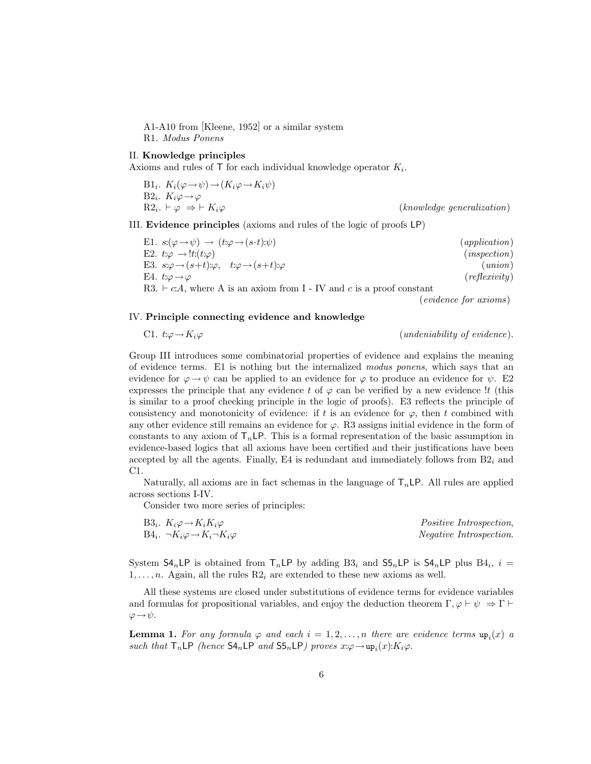A1-A10 from [Kleene, 1952] or a similar system

R1. Modus Ponens

#### II. Knowledge principles

Axioms and rules of  $\mathsf T$  for each individual knowledge operator  $K_i$ .

B1<sub>i</sub>. 
$$
K_i(\varphi \to \psi) \to (K_i\varphi \to K_i\psi)
$$
  
B2<sub>i</sub>.  $K_i\varphi \to \varphi$   
R2<sub>i</sub>.  $\vdash \varphi \Rightarrow \vdash K_i\varphi$  (*knowledge generalization*)

III. Evidence principles (axioms and rules of the logic of proofs LP)

| E1. $s: (\varphi \rightarrow \psi) \rightarrow (t: \varphi \rightarrow (s \cdot t): \psi)$ | (application) |
|--------------------------------------------------------------------------------------------|---------------|
| E2. $t:\varphi \to !t:(t:\varphi)$                                                         | (inspectrum)  |
| E3. $s:\varphi \to (s+t):\varphi, \quad t:\varphi \to (s+t):\varphi$                       | (union)       |
| E4. t: $\varphi \!\rightarrow\! \varphi$                                                   | (reflexivity) |
| R3. $\vdash$ c.A, where A is an axiom from I - IV and c is a proof constant                |               |

(evidence for axioms)

#### IV. Principle connecting evidence and knowledge

C1. 
$$
t:\varphi \to K_i\varphi
$$
 (undeniability of evidence).

Group III introduces some combinatorial properties of evidence and explains the meaning of evidence terms. E1 is nothing but the internalized modus ponens, which says that an evidence for  $\varphi \rightarrow \psi$  can be applied to an evidence for  $\varphi$  to produce an evidence for  $\psi$ . E2 expresses the principle that any evidence t of  $\varphi$  can be verified by a new evidence !t (this is similar to a proof checking principle in the logic of proofs). E3 reflects the principle of consistency and monotonicity of evidence: if t is an evidence for  $\varphi$ , then t combined with any other evidence still remains an evidence for  $\varphi$ . R3 assigns initial evidence in the form of constants to any axiom of  $T_n$  LP. This is a formal representation of the basic assumption in evidence-based logics that all axioms have been certified and their justifications have been accepted by all the agents. Finally, E4 is redundant and immediately follows from  $B2_i$  and C1.

Naturally, all axioms are in fact schemas in the language of  $T_nLP$ . All rules are applied across sections I-IV.

Consider two more series of principles:

| B <sub>3</sub> , $K_i \varphi \rightarrow K_i K_i \varphi$   | <i>Positive Introspection.</i> |
|--------------------------------------------------------------|--------------------------------|
| $B4_i$ . $\neg K_i \varphi \rightarrow K_i \neg K_i \varphi$ | <i>Negative Introspection.</i> |

System  $\mathsf{S4}_n\mathsf{LP}$  is obtained from  $\mathsf{T}_n\mathsf{LP}$  by adding  $\mathsf{B3}_i$  and  $\mathsf{S5}_n\mathsf{LP}$  is  $\mathsf{S4}_n\mathsf{LP}$  plus  $\mathsf{B4}_i$ ,  $i =$  $1, \ldots, n$ . Again, all the rules  $R2_i$  are extended to these new axioms as well.

All these systems are closed under substitutions of evidence terms for evidence variables and formulas for propositional variables, and enjoy the deduction theorem  $\Gamma, \varphi \vdash \psi \Rightarrow \Gamma \vdash$  $\varphi \rightarrow \psi$ .

**Lemma 1.** For any formula  $\varphi$  and each  $i = 1, 2, ..., n$  there are evidence terms  $\text{up}_i(x)$  a such that  $T_n \textsf{LP}$  (hence  $\textsf{S4}_n \textsf{LP}$  and  $\textsf{S5}_n \textsf{LP}$ ) proves  $x:\varphi \to \text{up}_i(x): K_i\varphi$ .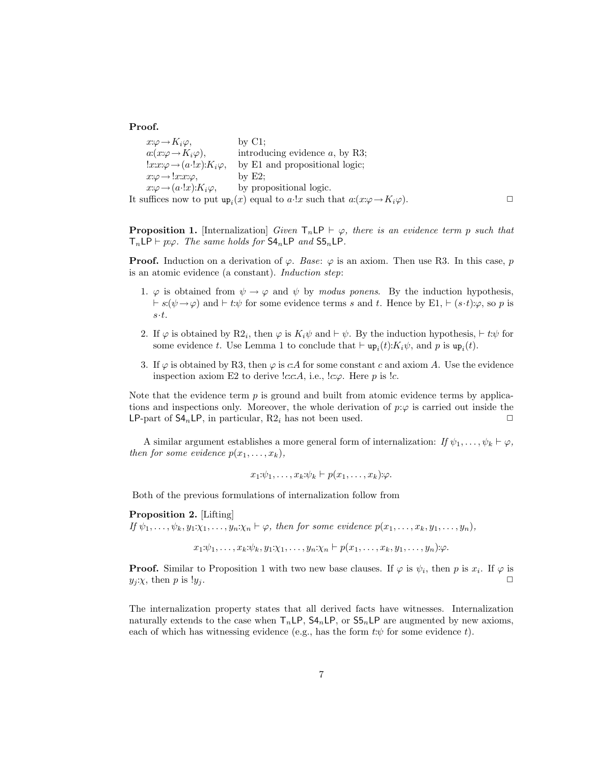Proof.

 $x:\varphi \to K_i\varphi$ , by C1;  $a:(x:\varphi \to K_i\varphi),$  introducing evidence a, by R3;  $!x:x:\varphi\rightarrow(a\cdot !x):K_i\varphi$ , by E1 and propositional logic;  $x:\varphi \longrightarrow !x:x:\varphi,$  by E2;  $x:\varphi\to(a\cdot!x):K_i\varphi$ , by propositional logic. It suffices now to put  $\text{up}_i(x)$  equal to a·!x such that  $a:(x:\varphi \to K_i\varphi)$ .

**Proposition 1.** [Internalization] Given  $T_n \textsf{LP} \vdash \varphi$ , there is an evidence term p such that  $T_n \textsf{LP} \vdash p:\varphi$ . The same holds for  $\textsf{S4}_n \textsf{LP}$  and  $\textsf{S5}_n \textsf{LP}$ .

**Proof.** Induction on a derivation of  $\varphi$ . Base:  $\varphi$  is an axiom. Then use R3. In this case, p is an atomic evidence (a constant). Induction step:

- 1.  $\varphi$  is obtained from  $\psi \to \varphi$  and  $\psi$  by modus ponens. By the induction hypothesis,  $\vdash s:(\psi\rightarrow\varphi)$  and  $\vdash t:\psi$  for some evidence terms s and t. Hence by E1,  $\vdash (s\cdot t):\varphi$ , so p is  $s\!\cdot\! t.$
- 2. If  $\varphi$  is obtained by R2<sub>i</sub>, then  $\varphi$  is  $K_i\psi$  and  $\vdash \psi$ . By the induction hypothesis,  $\vdash t:\psi$  for some evidence t. Use Lemma 1 to conclude that  $\vdash \text{up}_i(t): K_i \psi$ , and p is  $\text{up}_i(t)$ .
- 3. If  $\varphi$  is obtained by R3, then  $\varphi$  is c:A for some constant c and axiom A. Use the evidence inspection axiom E2 to derive  $lc.c.A$ , i.e.,  $lc.\varphi$ . Here p is  $lc.$

Note that the evidence term  $p$  is ground and built from atomic evidence terms by applications and inspections only. Moreover, the whole derivation of  $p:\varphi$  is carried out inside the LP-part of  $\mathsf{S4}_n$ LP, in particular, R2<sub>i</sub> has not been used.  $\Box$ 

A similar argument establishes a more general form of internalization: If  $\psi_1, \ldots, \psi_k \vdash \varphi$ , then for some evidence  $p(x_1, \ldots, x_k)$ ,

$$
x_1:\psi_1,\ldots,x_k:\psi_k\vdash p(x_1,\ldots,x_k):\varphi.
$$

Both of the previous formulations of internalization follow from

Proposition 2. [Lifting]

If  $\psi_1, \ldots, \psi_k, y_1 \chi_1, \ldots, y_n \chi_n \vdash \varphi$ , then for some evidence  $p(x_1, \ldots, x_k, y_1, \ldots, y_n)$ ,

 $x_1:\psi_1, \ldots, x_k:\psi_k, y_1:\chi_1, \ldots, y_n:\chi_n \vdash p(x_1, \ldots, x_k, y_1, \ldots, y_n):\varphi.$ 

**Proof.** Similar to Proposition 1 with two new base clauses. If  $\varphi$  is  $\psi_i$ , then p is  $x_i$ . If  $\varphi$  is  $y_j$ : $\chi$ , then p is  $!y_j$ .

The internalization property states that all derived facts have witnesses. Internalization naturally extends to the case when  $T_nLP$ ,  $SA_nLP$ , or  $S5_nLP$  are augmented by new axioms, each of which has witnessing evidence (e.g., has the form  $t:\psi$  for some evidence t).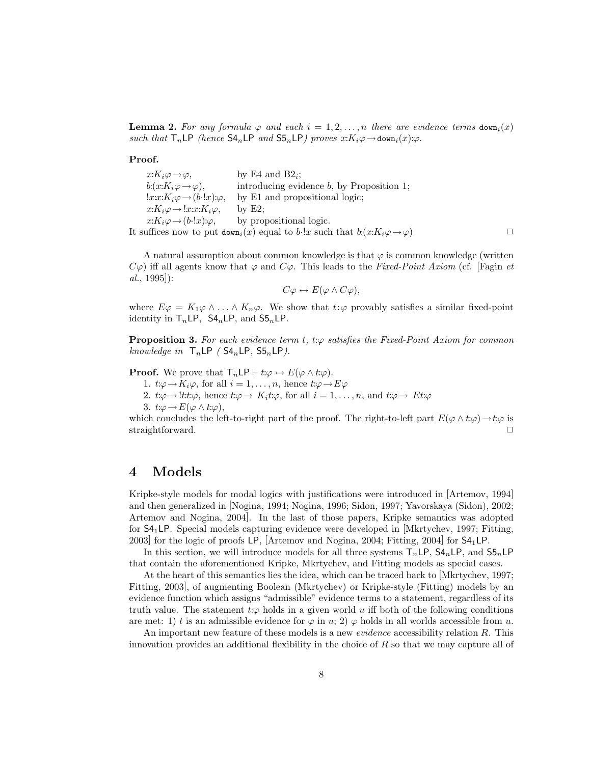**Lemma 2.** For any formula  $\varphi$  and each  $i = 1, 2, ..., n$  there are evidence terms  $down_i(x)$ such that  $T_n \textsf{LP}$  (hence  $\textsf{S4}_n \textsf{LP}$  and  $\textsf{S5}_n \textsf{LP}$ ) proves  $x: K_i\varphi \to \texttt{down}_i(x):\varphi$ .

Proof.

 $x: K_i \varphi \to \varphi,$  by E4 and B2<sub>i</sub>;  $b:(x:K_i\varphi \to \varphi),$  introducing evidence b, by Proposition 1;<br> $!x:x:K_i\varphi \to (b\cdot 1x):\varphi,$  by E1 and propositional logic; by E1 and propositional logic;  $x:K_i\varphi \to !x:x:K_i\varphi,$  by E2;  $x: K_i\varphi \to (b\cdot !x):\varphi,$  by propositional logic. It suffices now to put  $down_i(x)$  equal to b·!x such that  $b:(x:K_i\varphi \to \varphi)$ 

A natural assumption about common knowledge is that  $\varphi$  is common knowledge (written  $C\varphi$ ) iff all agents know that  $\varphi$  and  $C\varphi$ . This leads to the Fixed-Point Axiom (cf. [Fagin et  $al., 1995$ :

$$
C\varphi \leftrightarrow E(\varphi \wedge C\varphi),
$$

where  $E\varphi = K_1\varphi \wedge \ldots \wedge K_n\varphi$ . We show that  $t:\varphi$  provably satisfies a similar fixed-point identity in  $T_nLP$ ,  $S4_nLP$ , and  $S5_nLP$ .

**Proposition 3.** For each evidence term t, t: $\varphi$  satisfies the Fixed-Point Axiom for common knowledge in  $T_nLP$  (S4<sub>n</sub>LP, S5<sub>n</sub>LP).

**Proof.** We prove that  $\mathsf{T}_n \mathsf{LP} \vdash t:\varphi \leftrightarrow E(\varphi \wedge t:\varphi)$ .

1.  $t:\varphi\to K_i\varphi$ , for all  $i=1,\ldots,n$ , hence  $t:\varphi\to E\varphi$ 

- 2.  $t:\varphi \to \ell t:\varphi$ , hence  $t:\varphi \to K_i t:\varphi$ , for all  $i=1,\ldots,n$ , and  $t:\varphi \to Et:\varphi$
- 3.  $t:\varphi \to E(\varphi \wedge t:\varphi),$

which concludes the left-to-right part of the proof. The right-to-left part  $E(\varphi \wedge t:\varphi) \rightarrow t:\varphi$  is straightforward.

#### 4 Models

Kripke-style models for modal logics with justifications were introduced in [Artemov, 1994] and then generalized in [Nogina, 1994; Nogina, 1996; Sidon, 1997; Yavorskaya (Sidon), 2002; Artemov and Nogina, 2004]. In the last of those papers, Kripke semantics was adopted for  $S4_1LP$ . Special models capturing evidence were developed in Mkrtychev, 1997; Fitting 2003] for the logic of proofs LP, [Artemov and Nogina, 2004; Fitting, 2004] for S41LP.

In this section, we will introduce models for all three systems  $T_nLP$ ,  $SA_nLP$ , and  $SS_nLP$ that contain the aforementioned Kripke, Mkrtychev, and Fitting models as special cases.

At the heart of this semantics lies the idea, which can be traced back to [Mkrtychev, 1997; Fitting, 2003], of augmenting Boolean (Mkrtychev) or Kripke-style (Fitting) models by an evidence function which assigns "admissible" evidence terms to a statement, regardless of its truth value. The statement  $t:\varphi$  holds in a given world u iff both of the following conditions are met: 1) t is an admissible evidence for  $\varphi$  in u; 2)  $\varphi$  holds in all worlds accessible from u.

An important new feature of these models is a new *evidence* accessibility relation R. This innovation provides an additional flexibility in the choice of  $R$  so that we may capture all of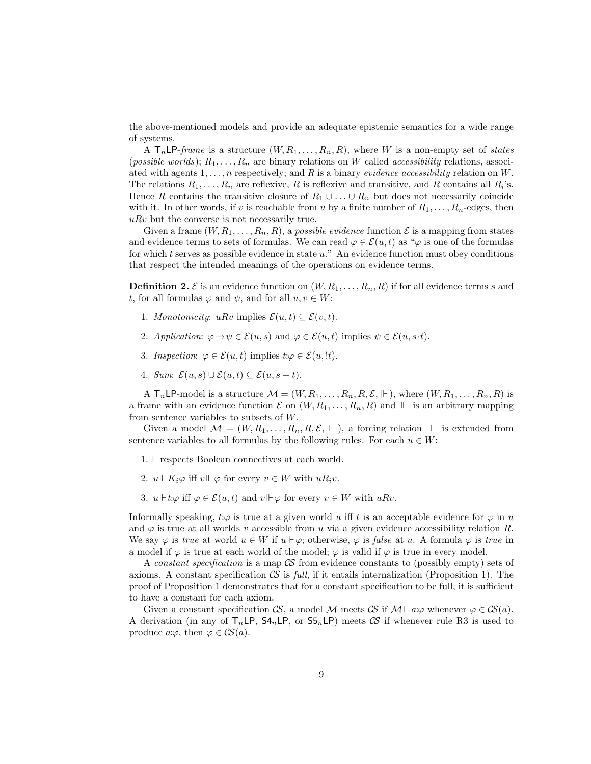the above-mentioned models and provide an adequate epistemic semantics for a wide range of systems.

A  $T_n L P$ -frame is a structure  $(W, R_1, \ldots, R_n, R)$ , where W is a non-empty set of states (*possible worlds*);  $R_1, \ldots, R_n$  are binary relations on W called *accessibility* relations, associated with agents  $1, \ldots, n$  respectively; and R is a binary evidence accessibility relation on W. The relations  $R_1, \ldots, R_n$  are reflexive, R is reflexive and transitive, and R contains all  $R_i$ 's. Hence R contains the transitive closure of  $R_1 \cup \ldots \cup R_n$  but does not necessarily coincide with it. In other words, if v is reachable from u by a finite number of  $R_1, \ldots, R_n$ -edges, then  $uRv$  but the converse is not necessarily true.

Given a frame  $(W, R_1, \ldots, R_n, R)$ , a possible evidence function  $\mathcal E$  is a mapping from states and evidence terms to sets of formulas. We can read  $\varphi \in \mathcal{E}(u, t)$  as " $\varphi$  is one of the formulas for which  $t$  serves as possible evidence in state  $u$ ." An evidence function must obey conditions that respect the intended meanings of the operations on evidence terms.

**Definition 2.** E is an evidence function on  $(W, R_1, \ldots, R_n, R)$  if for all evidence terms s and t, for all formulas  $\varphi$  and  $\psi$ , and for all  $u, v \in W$ :

- 1. Monotonicity: uRv implies  $\mathcal{E}(u,t) \subseteq \mathcal{E}(v,t)$ .
- 2. Application:  $\varphi \to \psi \in \mathcal{E}(u, s)$  and  $\varphi \in \mathcal{E}(u, t)$  implies  $\psi \in \mathcal{E}(u, s \cdot t)$ .
- 3. Inspection:  $\varphi \in \mathcal{E}(u, t)$  implies  $t : \varphi \in \mathcal{E}(u, t)$ .
- 4. Sum:  $\mathcal{E}(u,s) \cup \mathcal{E}(u,t) \subset \mathcal{E}(u,s+t)$ .

A  $T_n \mathsf{LP-model}$  is a structure  $\mathcal{M} = (W, R_1, \ldots, R_n, R, \mathcal{E}, \Vdash)$ , where  $(W, R_1, \ldots, R_n, R)$  is a frame with an evidence function  $\mathcal E$  on  $(W, R_1, \ldots, R_n, R)$  and  $\Vdash$  is an arbitrary mapping from sentence variables to subsets of W.

Given a model  $\mathcal{M} = (W, R_1, \ldots, R_n, R, \mathcal{E}, \Vdash)$ , a forcing relation  $\Vdash$  is extended from sentence variables to all formulas by the following rules. For each  $u \in W$ :

- 1.  $\mathbb F$  respects Boolean connectives at each world.
- 2.  $u \Vdash K_i \varphi$  iff  $v \Vdash \varphi$  for every  $v \in W$  with  $uR_i v$ .
- 3.  $u \Vdash t:\varphi$  iff  $\varphi \in \mathcal{E}(u, t)$  and  $v \Vdash \varphi$  for every  $v \in W$  with  $uRv$ .

Informally speaking,  $t:\varphi$  is true at a given world u iff t is an acceptable evidence for  $\varphi$  in u and  $\varphi$  is true at all worlds v accessible from u via a given evidence accessibility relation R. We say  $\varphi$  is true at world  $u \in W$  if  $u \Vdash \varphi$ ; otherwise,  $\varphi$  is false at u. A formula  $\varphi$  is true in a model if  $\varphi$  is true at each world of the model;  $\varphi$  is valid if  $\varphi$  is true in every model.

A constant specification is a map  $\mathcal{S}$  from evidence constants to (possibly empty) sets of axioms. A constant specification  $\mathcal{S}$  is full, if it entails internalization (Proposition 1). The proof of Proposition 1 demonstrates that for a constant specification to be full, it is sufficient to have a constant for each axiom.

Given a constant specification  $\mathcal{CS}$ , a model M meets  $\mathcal{CS}$  if  $\mathcal{M}\Vdash a:\varphi$  whenever  $\varphi\in\mathcal{CS}(a)$ . A derivation (in any of  $T_n \textsf{LP}$ ,  $\textsf{S4}_n \textsf{LP}$ , or  $\textsf{S5}_n \textsf{LP}$ ) meets  $\mathcal{CS}$  if whenever rule R3 is used to produce  $a:\varphi$ , then  $\varphi \in \mathcal{CS}(a)$ .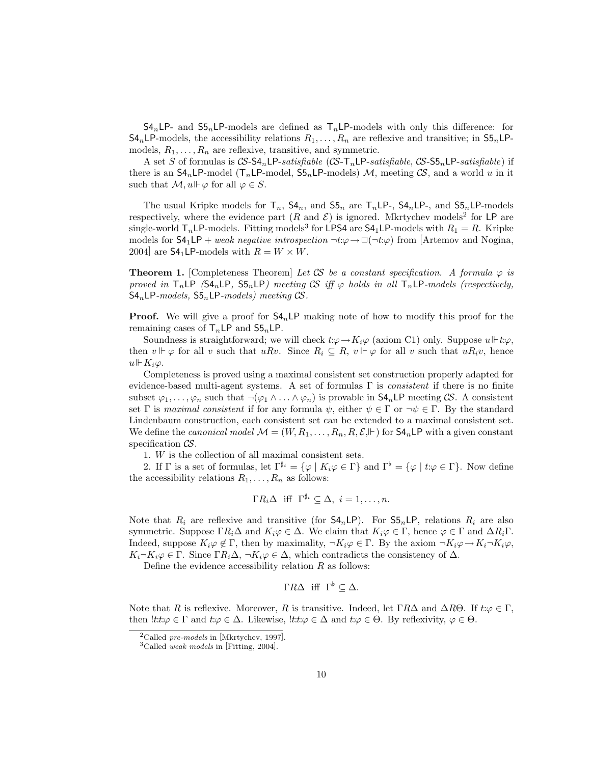$S4_nLP$ - and  $S5_nLP$ -models are defined as  $T_nLP$ -models with only this difference: for  $\mathsf{S4}_n$ LP-models, the accessibility relations  $R_1, \ldots, R_n$  are reflexive and transitive; in  $\mathsf{S5}_n$ LPmodels,  $R_1, \ldots, R_n$  are reflexive, transitive, and symmetric.

A set S of formulas is  $CS$ -S $4_n$ LP-satisfiable (CS-T<sub>n</sub>LP-satisfiable, CS-S $5_n$ LP-satisfiable) if there is an  $\mathsf{S4}_n$ LP-model ( $\mathsf{T}_n$ LP-model,  $\mathsf{S5}_n$ LP-models) M, meeting CS, and a world u in it such that  $\mathcal{M}, u \Vdash \varphi$  for all  $\varphi \in S$ .

The usual Kripke models for  $T_n$ ,  $S4_n$ , and  $S5_n$  are  $T_nLP$ ,  $S4_nLP$ , and  $S5_nLP$ -models respectively, where the evidence part  $(R \text{ and } \mathcal{E})$  is ignored. Mkrtychev models<sup>2</sup> for LP are single-world  $T_n L$ P-models. Fitting models<sup>3</sup> for LPS4 are  $S4_1 L$ P-models with  $R_1 = R$ . Kripke models for  $S4_1LP + weak negative introspection \neg t:\varphi \rightarrow \Box(\neg t:\varphi)$  from [Artemov and Nogina, 2004] are  $S4_1 L$ P-models with  $R = W \times W$ .

**Theorem 1.** [Completeness Theorem] Let CS be a constant specification. A formula  $\varphi$  is proved in  $T_nLP$  (S4<sub>n</sub>LP, S5<sub>n</sub>LP) meeting CS iff  $\varphi$  holds in all  $T_nLP$ -models (respectively,  $S4_nLP$ -models,  $S5_nLP$ -models) meeting CS.

**Proof.** We will give a proof for  $S4_n \text{LP}$  making note of how to modify this proof for the remaining cases of  $T_nLP$  and  $S5_nLP$ .

Soundness is straightforward; we will check  $t:\varphi \to K_i\varphi$  (axiom C1) only. Suppose  $u \Vdash t:\varphi$ , then  $v \Vdash \varphi$  for all v such that  $uRv$ . Since  $R_i \subseteq R$ ,  $v \Vdash \varphi$  for all v such that  $uR_i v$ , hence  $u \Vdash K_i \varphi$ .

Completeness is proved using a maximal consistent set construction properly adapted for evidence-based multi-agent systems. A set of formulas  $\Gamma$  is *consistent* if there is no finite subset  $\varphi_1,\ldots,\varphi_n$  such that  $\neg(\varphi_1 \wedge \ldots \wedge \varphi_n)$  is provable in  $\mathsf{S4}_n\mathsf{LP}$  meeting  $\mathcal{CS}$ . A consistent set Γ is maximal consistent if for any formula  $\psi$ , either  $\psi \in \Gamma$  or  $\neg \psi \in \Gamma$ . By the standard Lindenbaum construction, each consistent set can be extended to a maximal consistent set. We define the *canonical model*  $\mathcal{M} = (W, R_1, \ldots, R_n, R, \mathcal{E}, \Vdash)$  for  $\mathsf{SA}_n\mathsf{LP}$  with a given constant specification  $\mathcal{CS}$ .

1. W is the collection of all maximal consistent sets.

2. If  $\Gamma$  is a set of formulas, let  $\Gamma^{\sharp_i} = {\varphi \mid K_i\varphi \in \Gamma}$  and  $\Gamma^{\flat} = {\varphi \mid t:\varphi \in \Gamma}$ . Now define the accessibility relations  $R_1, \ldots, R_n$  as follows:

$$
\Gamma R_i \Delta
$$
 iff  $\Gamma^{\sharp i} \subseteq \Delta$ ,  $i = 1, ..., n$ .

Note that  $R_i$  are reflexive and transitive (for  $\mathsf{S4}_n\mathsf{LP}$ ). For  $\mathsf{S5}_n\mathsf{LP}$ , relations  $R_i$  are also symmetric. Suppose  $\Gamma R_i\Delta$  and  $K_i\varphi\in\Delta$ . We claim that  $K_i\varphi\in\Gamma$ , hence  $\varphi\in\Gamma$  and  $\Delta R_i\Gamma$ . Indeed, suppose  $K_i\varphi \notin \Gamma$ , then by maximality,  $\neg K_i\varphi \in \Gamma$ . By the axiom  $\neg K_i\varphi \rightarrow K_i \neg K_i\varphi$ ,  $K_i\neg K_i\varphi\in\Gamma$ . Since  $\Gamma R_i\Delta$ ,  $\neg K_i\varphi\in\Delta$ , which contradicts the consistency of  $\Delta$ .

Define the evidence accessibility relation  $R$  as follows:

$$
\Gamma R \Delta \quad \text{iff} \quad \Gamma^{\flat} \subseteq \Delta.
$$

Note that R is reflexive. Moreover, R is transitive. Indeed, let  $\Gamma R\Delta$  and  $\Delta R\Theta$ . If  $t:\varphi \in \Gamma$ , then  $!tt:\varphi \in \Gamma$  and  $t:\varphi \in \Delta$ . Likewise,  $!tt:\varphi \in \Delta$  and  $t:\varphi \in \Theta$ . By reflexivity,  $\varphi \in \Theta$ .

<sup>&</sup>lt;sup>2</sup>Called *pre-models* in [Mkrtychev, 1997].

<sup>3</sup>Called weak models in [Fitting, 2004].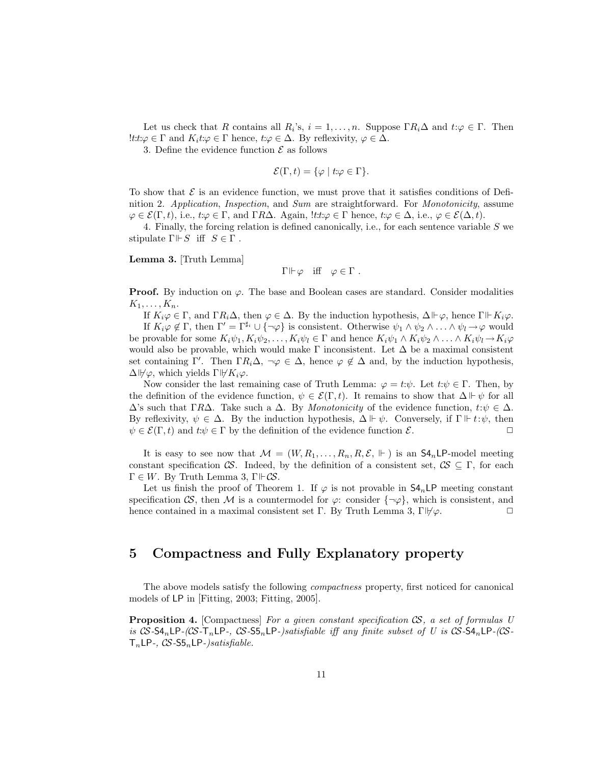Let us check that R contains all  $R_i$ 's,  $i = 1, ..., n$ . Suppose  $\Gamma R_i \Delta$  and  $t: \varphi \in \Gamma$ . Then !t: $t:\varphi \in \Gamma$  and  $K_i t:\varphi \in \Gamma$  hence,  $t:\varphi \in \Delta$ . By reflexivity,  $\varphi \in \Delta$ .

3. Define the evidence function  $\mathcal E$  as follows

$$
\mathcal{E}(\Gamma, t) = \{ \varphi \mid t : \varphi \in \Gamma \}.
$$

To show that  $\mathcal E$  is an evidence function, we must prove that it satisfies conditions of Definition 2. Application, Inspection, and Sum are straightforward. For Monotonicity, assume  $\varphi \in \mathcal{E}(\Gamma, t)$ , i.e.,  $t: \varphi \in \Gamma$ , and  $\Gamma R\Delta$ . Again,  $\exists t: \varphi \in \Gamma$  hence,  $t: \varphi \in \Delta$ , i.e.,  $\varphi \in \mathcal{E}(\Delta, t)$ .

4. Finally, the forcing relation is defined canonically, i.e., for each sentence variable  $S$  we stipulate  $\Gamma \Vdash S$  iff  $S \in \Gamma$ .

Lemma 3. [Truth Lemma]

$$
\Gamma \Vdash \varphi
$$
 iff  $\varphi \in \Gamma$ .

**Proof.** By induction on  $\varphi$ . The base and Boolean cases are standard. Consider modalities  $K_1, \ldots, K_n$ .

If  $K_i\varphi \in \Gamma$ , and  $\Gamma R_i\Delta$ , then  $\varphi \in \Delta$ . By the induction hypothesis,  $\Delta \Vdash \varphi$ , hence  $\Gamma \Vdash K_i\varphi$ . If  $K_i\varphi \notin \Gamma$ , then  $\Gamma' = \Gamma^{\sharp_i} \cup {\neg \varphi}$  is consistent. Otherwise  $\psi_1 \wedge \psi_2 \wedge \ldots \wedge \psi_l \rightarrow \varphi$  would be provable for some  $K_i\psi_1, K_i\psi_2, \ldots, K_i\psi_l \in \Gamma$  and hence  $K_i\psi_1 \wedge K_i\psi_2 \wedge \ldots \wedge K_i\psi_l \rightarrow K_i\varphi_l$ would also be provable, which would make  $\Gamma$  inconsistent. Let  $\Delta$  be a maximal consistent set containing Γ'. Then  $\Gamma R_i \Delta$ ,  $\neg \varphi \in \Delta$ , hence  $\varphi \notin \Delta$  and, by the induction hypothesis,  $\Delta \psi$ , which yields  $\Gamma \psi K_i \varphi$ .

Now consider the last remaining case of Truth Lemma:  $\varphi = t:\psi$ . Let  $t:\psi \in \Gamma$ . Then, by the definition of the evidence function,  $\psi \in \mathcal{E}(\Gamma, t)$ . It remains to show that  $\Delta \vdash \psi$  for all  $\Delta$ 's such that ΓR $\Delta$ . Take such a  $\Delta$ . By *Monotonicity* of the evidence function,  $t:\psi \in \Delta$ . By reflexivity,  $\psi \in \Delta$ . By the induction hypothesis,  $\Delta \Vdash \psi$ . Conversely, if  $\Gamma \Vdash t:\psi$ , then  $\psi \in \mathcal{E}(\Gamma, t)$  and  $t:\psi \in \Gamma$  by the definition of the evidence function  $\mathcal{E}$ .

It is easy to see now that  $\mathcal{M} = (W, R_1, \ldots, R_n, R, \mathcal{E}, \Vdash)$  is an  $\mathsf{S4}_n\mathsf{LP-model}$  meeting constant specification CS. Indeed, by the definition of a consistent set,  $\mathcal{CS} \subseteq \Gamma$ , for each  $\Gamma \in W$ . By Truth Lemma 3,  $\Gamma \Vdash \mathcal{CS}$ .

Let us finish the proof of Theorem 1. If  $\varphi$  is not provable in  $\mathsf{S4}_n\mathsf{LP}$  meeting constant specification  $\mathcal{CS}$ , then  $\mathcal M$  is a countermodel for  $\varphi$ : consider  $\{\neg \varphi\}$ , which is consistent, and hence contained in a maximal consistent set Γ. By Truth Lemma 3,  $\Gamma \nvDash \varphi$ .

## 5 Compactness and Fully Explanatory property

The above models satisfy the following *compactness* property, first noticed for canonical models of LP in [Fitting, 2003; Fitting, 2005].

**Proposition 4.** [Compactness] For a given constant specification  $\mathcal{CS}$ , a set of formulas U is  $CS$ -S4<sub>n</sub>LP- $(CS-T_nLP$ -,  $CS$ -S5<sub>n</sub>LP-)satisfiable iff any finite subset of U is  $CS$ -S4<sub>n</sub>LP- $(CS-T_nLP)$  $T_nLP$ -,  $CS$ -S5<sub>n</sub>LP-)satisfiable.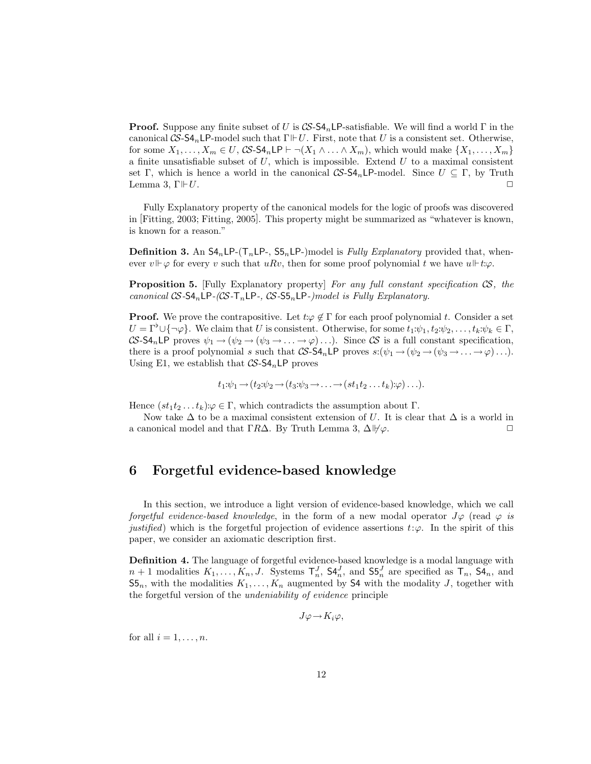**Proof.** Suppose any finite subset of U is  $\mathcal{CS}\text{-}\mathsf{S4}_n$  LP-satisfiable. We will find a world  $\Gamma$  in the canonical  $CS$ -S4<sub>n</sub>LP-model such that  $\Gamma \Vdash U$ . First, note that U is a consistent set. Otherwise, for some  $X_1, \ldots, X_m \in U$ ,  $\mathcal{CS}\text{-}\mathsf{S4}_n\text{\sf L}P \vdash \neg(X_1 \land \ldots \land X_m)$ , which would make  $\{X_1, \ldots, X_m\}$ a finite unsatisfiable subset of  $U$ , which is impossible. Extend  $U$  to a maximal consistent set Γ, which is hence a world in the canonical  $\mathcal{CS}\text{-}S4_n\textsf{LP-model}$ . Since  $U \subseteq \Gamma$ , by Truth Lemma 3,  $\Gamma \Vdash U$ .

Fully Explanatory property of the canonical models for the logic of proofs was discovered in [Fitting, 2003; Fitting, 2005]. This property might be summarized as "whatever is known, is known for a reason."

**Definition 3.** An  $SA_nLP-(T_nLP-, S5_nLP-)$  model is *Fully Explanatory* provided that, whenever  $v \Vdash \varphi$  for every v such that  $uRv$ , then for some proof polynomial t we have  $u \Vdash t:\varphi$ .

**Proposition 5.** [Fully Explanatory property] For any full constant specification  $\mathcal{S}$ , the canonical  $CS$ -S4<sub>n</sub>LP- $(CS$ -T<sub>n</sub>LP-,  $CS$ -S5<sub>n</sub>LP-)model is Fully Explanatory.

**Proof.** We prove the contrapositive. Let  $t:\varphi \notin \Gamma$  for each proof polynomial t. Consider a set  $U = \Gamma^{\flat} \cup \{\neg \varphi\}$ . We claim that U is consistent. Otherwise, for some  $t_1:\psi_1, t_2:\psi_2, \ldots, t_k:\psi_k \in \Gamma$ ,  $CS$ -S4<sub>n</sub>LP proves  $\psi_1 \rightarrow (\psi_2 \rightarrow (\psi_3 \rightarrow \ldots \rightarrow \varphi) \ldots)$ . Since CS is a full constant specification, there is a proof polynomial s such that  $\mathcal{CS}\text{-}\mathsf{S4}_n\text{\sf LP}$  proves  $s: (\psi_1 \to (\psi_2 \to (\psi_3 \to \ldots \to \varphi) \ldots).$ Using E1, we establish that  $CS$ -S4<sub>n</sub>LP proves

$$
t_1:\psi_1\to(t_2:\psi_2\to(t_3:\psi_3\to\ldots\to(st_1t_2\ldots t_k):\varphi)\ldots).
$$

Hence  $(st_1t_2...t_k):\varphi\in\Gamma$ , which contradicts the assumption about  $\Gamma$ .

Now take  $\Delta$  to be a maximal consistent extension of U. It is clear that  $\Delta$  is a world in a canonical model and that ΓRΔ. By Truth Lemma 3,  $\Delta \psi \varphi$ .

## 6 Forgetful evidence-based knowledge

In this section, we introduce a light version of evidence-based knowledge, which we call forgetful evidence-based knowledge, in the form of a new modal operator  $J\varphi$  (read  $\varphi$  is justified) which is the forgetful projection of evidence assertions  $t:\varphi$ . In the spirit of this paper, we consider an axiomatic description first.

Definition 4. The language of forgetful evidence-based knowledge is a modal language with  $n+1$  modalities  $K_1, \ldots, K_n, J$ . Systems  $\mathsf{T}_n^J$ ,  $\mathsf{S4}_n^J$ , and  $\mathsf{S5}_n^J$  are specified as  $\mathsf{T}_n$ ,  $\mathsf{S4}_n$ , and  $\mathsf{S5}_n$ , with the modalities  $K_1, \ldots, K_n$  augmented by S4 with the modality J, together with the forgetful version of the undeniability of evidence principle

$$
J\varphi \longrightarrow K_i\varphi,
$$

for all  $i = 1, \ldots, n$ .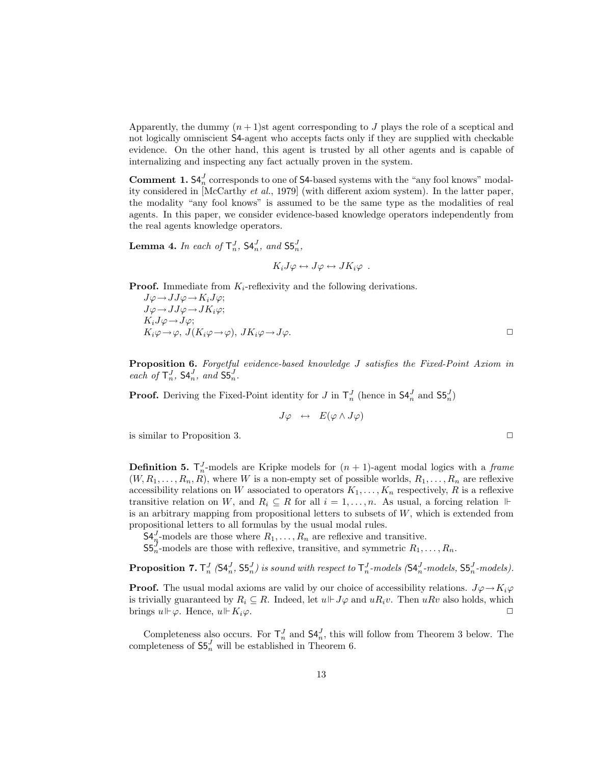Apparently, the dummy  $(n + 1)$ st agent corresponding to J plays the role of a sceptical and not logically omniscient S4-agent who accepts facts only if they are supplied with checkable evidence. On the other hand, this agent is trusted by all other agents and is capable of internalizing and inspecting any fact actually proven in the system.

**Comment 1.**  $\mathsf{S4}_{n}^{J}$  corresponds to one of  $\mathsf{S4}$ -based systems with the "any fool knows" modality considered in [McCarthy et al., 1979] (with different axiom system). In the latter paper, the modality "any fool knows" is assumed to be the same type as the modalities of real agents. In this paper, we consider evidence-based knowledge operators independently from the real agents knowledge operators.

**Lemma 4.** In each of  $\mathsf{T}_n^J$ ,  $\mathsf{S4}_n^J$ , and  $\mathsf{S5}_n^J$ ,

 $K_iJ\varphi \leftrightarrow J\varphi \leftrightarrow JK_i\varphi$ .

**Proof.** Immediate from  $K_i$ -reflexivity and the following derivations.

 $J\varphi \rightarrow JJ\varphi \rightarrow K_iJ\varphi;$  $J\varphi \rightarrow JJ\varphi \rightarrow JK_i\varphi;$  $K_iJ\varphi \rightarrow J\varphi;$  $K_i\varphi\rightarrow\varphi, J(K_i\varphi\rightarrow\varphi), JK_i\varphi\rightarrow J\varphi.$ 

Proposition 6. Forgetful evidence-based knowledge J satisfies the Fixed-Point Axiom in each of  $\mathsf{T}_{n}^{J}$ ,  $\mathsf{S4}_{n}^{J}$ , and  $\mathsf{S5}_{n}^{J}$ .

**Proof.** Deriving the Fixed-Point identity for J in  $\mathsf{T}_{n}^{J}$  (hence in  $\mathsf{S4}_{n}^{J}$  and  $\mathsf{S5}_{n}^{J}$ )

$$
J\varphi \ \, \leftrightarrow \ \, E(\varphi \wedge J\varphi)
$$

is similar to Proposition 3.  $\Box$ 

**Definition 5.**  $\mathsf{T}_n^J$ -models are Kripke models for  $(n + 1)$ -agent modal logics with a frame  $(W, R_1, \ldots, R_n, R)$ , where W is a non-empty set of possible worlds,  $R_1, \ldots, R_n$  are reflexive accessibility relations on W associated to operators  $K_1, \ldots, K_n$  respectively, R is a reflexive transitive relation on W, and  $R_i \subseteq R$  for all  $i = 1, ..., n$ . As usual, a forcing relation  $\Vdash$ is an arbitrary mapping from propositional letters to subsets of  $W$ , which is extended from propositional letters to all formulas by the usual modal rules.

 $\mathsf{S4}_{n}^{J}$ -models are those where  $R_1, \ldots, R_n$  are reflexive and transitive.

 $\mathsf{S5}_{n}^{\mathcal{J}}$ -models are those with reflexive, transitive, and symmetric  $R_1, \ldots, R_n$ .

**Proposition 7.**  $\mathsf{T}_{n}^{J}$  ( $\mathsf{SA}_{n}^{J}$ ,  $\mathsf{SB}_{n}^{J}$ ) is sound with respect to  $\mathsf{T}_{n}^{J}$ -models ( $\mathsf{SA}_{n}^{J}$ -models,  $\mathsf{SB}_{n}^{J}$ -models).

**Proof.** The usual modal axioms are valid by our choice of accessibility relations.  $J\varphi \to K_i\varphi$ is trivially guaranteed by  $R_i \subseteq R$ . Indeed, let  $u \Vdash J\varphi$  and  $uR_i v$ . Then  $uRv$  also holds, which brings  $u \Vdash \varphi$ . Hence,  $u \Vdash K_i\varphi$ .

Completeness also occurs. For  $\mathsf{T}_n^J$  and  $\mathsf{S4}_n^J$ , this will follow from Theorem 3 below. The completeness of  $\mathsf{S5}_n^J$  will be established in Theorem 6.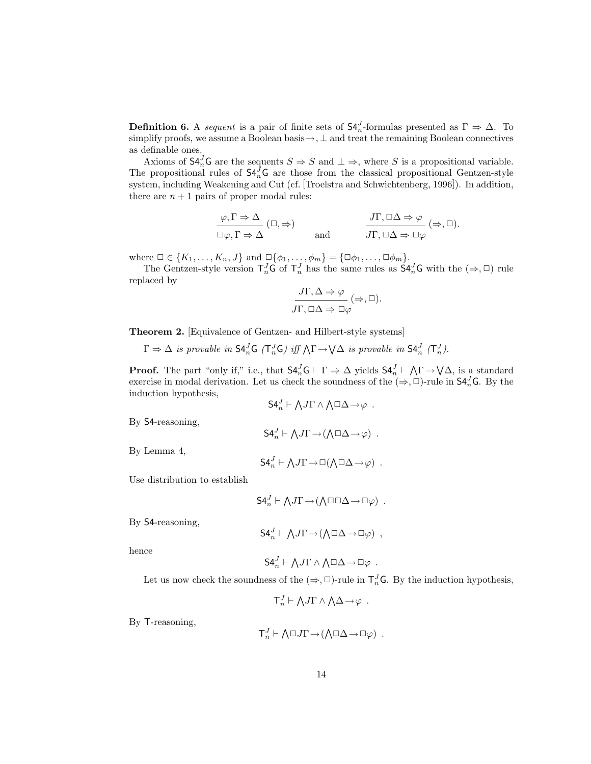**Definition 6.** A sequent is a pair of finite sets of  $\mathsf{S4}_{n}^{J}$ -formulas presented as  $\Gamma \Rightarrow \Delta$ . To simplify proofs, we assume a Boolean basis  $\rightarrow$ ,  $\perp$  and treat the remaining Boolean connectives as definable ones.

Axioms of  $\mathsf{S4}_{n}^{J} \mathsf{G}$  are the sequents  $S \Rightarrow S$  and  $\bot \Rightarrow$ , where S is a propositional variable. The propositional rules of  $S4_n^{\bar{J}}G$  are those from the classical propositional Gentzen-style system, including Weakening and Cut (cf. [Troelstra and Schwichtenberg, 1996]). In addition, there are  $n + 1$  pairs of proper modal rules:

$$
\frac{\varphi, \Gamma \Rightarrow \Delta}{\Box \varphi, \Gamma \Rightarrow \Delta} (\Box, \Rightarrow) \qquad \text{and} \qquad \frac{J\Gamma, \Box \Delta \Rightarrow \varphi}{J\Gamma, \Box \Delta \Rightarrow \Box \varphi} (\Rightarrow, \Box).
$$

where  $\Box \in \{K_1, \ldots, K_n, J\}$  and  $\Box \{\phi_1, \ldots, \phi_m\} = {\Box \phi_1, \ldots, \Box \phi_m\}.$ 

The Gentzen-style version  $T_n^J G$  of  $T_n^J$  has the same rules as  $S4_n^J G$  with the  $(\Rightarrow, \Box)$  rule replaced by

$$
\frac{J\Gamma, \Delta \Rightarrow \varphi}{J\Gamma, \Box \Delta \Rightarrow \Box \varphi} (\Rightarrow, \Box).
$$

Theorem 2. [Equivalence of Gentzen- and Hilbert-style systems]

 $\Gamma \Rightarrow \Delta$  is provable in  $\mathsf{S4}_n^J \mathsf{G}$  ( $\mathsf{T}_n^J \mathsf{G}$ ) iff  $\Lambda \Gamma \rightarrow \mathsf{V}\Delta$  is provable in  $\mathsf{S4}_n^J$  ( $\mathsf{T}_n^J$ ).

**Proof.** The part "only if," i.e., that  $S4_n^J G \vdash \Gamma \Rightarrow \Delta$  yields  $S4_n^J \vdash \bigwedge \Gamma \rightarrow \bigvee \Delta$ , is a standard exercise in modal derivation. Let us check the soundness of the  $(\Rightarrow, \Box)$ -rule in  $\mathsf{S4}_{n}^{J}$ G. By the induction hypothesis,  $\mathbf{v}$  $\mathbf{v}$ 

$$
\mathsf{S4}_n^J \vdash \bigwedge J\Gamma \wedge \bigwedge \Box \Delta \rightarrow \varphi .
$$

 $\mathsf{S4}_n^J \vdash \bigwedge J\Gamma \rightarrow (\bigwedge \Box \Delta \rightarrow \varphi)$ .

By S4-reasoning,

By Lemma 4,

$$
\mathsf{S4}_n^J \vdash \bigwedge J\Gamma \rightarrow \Box(\bigwedge \Box \Delta \rightarrow \varphi) \ .
$$

Use distribution to establish

$$
\mathsf{S4}_n^J \vdash \bigwedge J\Gamma \rightarrow (\bigwedge \Box \Box \Delta \rightarrow \Box \varphi) \ .
$$

By S4-reasoning,

$$
\mathsf{S4}_n^J \vdash \bigwedge J\Gamma \rightarrow (\bigwedge \Box \Delta \rightarrow \Box \varphi) ,
$$

hence

$$
\mathsf{S4}_n^J \vdash \bigwedge J\Gamma \wedge \bigwedge \Box \Delta \rightarrow \Box \varphi .
$$

Let us now check the soundness of the  $(\Rightarrow, \Box)$ -rule in  $\mathsf{T}_n^J\mathsf{G}$ . By the induction hypothesis,

$$
\mathsf{T}_n^J \vdash \bigwedge J\Gamma \wedge \bigwedge \Delta \rightarrow \varphi \ .
$$

By T-reasoning,

$$
\mathsf{T}^J_n \vdash \bigwedge \Box J\Gamma \rightarrow (\bigwedge \Box \Delta \rightarrow \Box \varphi) \ .
$$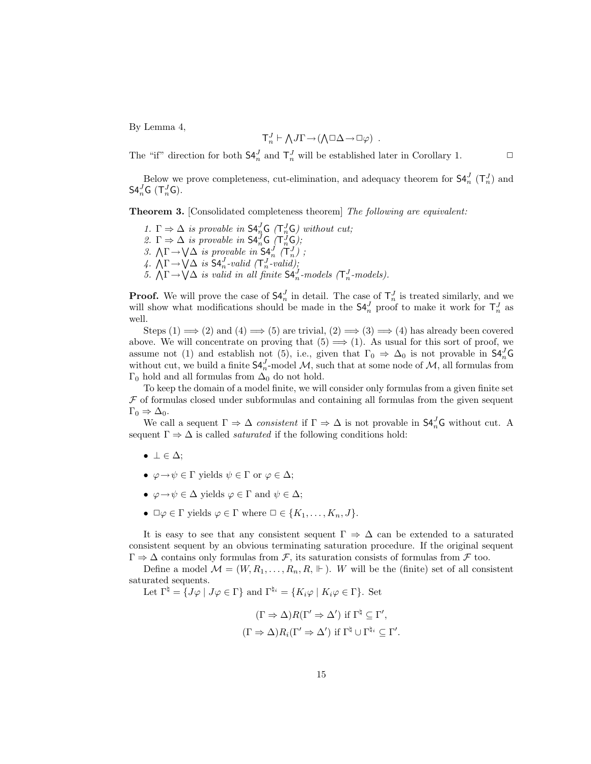By Lemma 4,

$$
\mathsf{T}^J_n \vdash \bigwedge J\Gamma \mathop{\rightarrow} (\bigwedge \Box \Delta \mathop{\rightarrow} \Box \varphi) \ .
$$

The "if" direction for both  $\mathsf{S4}_n^J$  and  $\mathsf{T}_n^J$  will be established later in Corollary 1.  $\Box$ 

Below we prove completeness, cut-elimination, and adequacy theorem for  $\mathsf{S4}_n^J$  ( $\mathsf{T}_n^J$ ) and  $S4_n^JG$   $(\mathsf{T}_n^J G)$ .

**Theorem 3.** [Consolidated completeness theorem] The following are equivalent:

1.  $\Gamma \Rightarrow \Delta$  is provable in  $\mathsf{S4}_{n}^{J} \mathsf{G}$  ( $\mathsf{T}_{n}^{J} \mathsf{G}$ ) without cut; 2.  $\Gamma \Rightarrow \Delta$  is provable in  $\mathsf{S4}_n^J \mathsf{G}(\mathsf{T}_n^J \mathsf{G});$ <br>
3.  $\Lambda \Gamma \rightarrow \mathsf{V}\Delta$  is provable in  $\mathsf{S4}_n^J$  ( $\mathsf{T}_n^J$ );<br>
4.  $\Lambda \Gamma \rightarrow \mathsf{V}\Delta$  is  $\mathsf{S4}_n^J$ -valid ( $\mathsf{T}_n^J$ -valid);<br>
5.  $\Lambda \Gamma \rightarrow \mathsf{V}\Delta$  is valid in all f

**Proof.** We will prove the case of  $\mathsf{S4}_n^J$  in detail. The case of  $\mathsf{T}_n^J$  is treated similarly, and we will show what modifications should be made in the  $\mathsf{S4}_{n}^{J}$  proof to make it work for  $\mathsf{T}_{n}^{J}$  as well.

Steps  $(1) \implies (2)$  and  $(4) \implies (5)$  are trivial,  $(2) \implies (3) \implies (4)$  has already been covered above. We will concentrate on proving that  $(5) \implies (1)$ . As usual for this sort of proof, we assume not (1) and establish not (5), i.e., given that  $\Gamma_0 \Rightarrow \Delta_0$  is not provable in  $\mathsf{S4}_n^J\mathsf{G}$ without cut, we build a finite  $\mathsf{S4}_{n}^{J}$ -model M, such that at some node of M, all formulas from Γ<sub>0</sub> hold and all formulas from  $Δ_0$  do not hold.

To keep the domain of a model finite, we will consider only formulas from a given finite set  $F$  of formulas closed under subformulas and containing all formulas from the given sequent  $\Gamma_0 \Rightarrow \Delta_0$ .

We call a sequent  $\Gamma \Rightarrow \Delta$  consistent if  $\Gamma \Rightarrow \Delta$  is not provable in  $\mathsf{S4}_n^J\mathsf{G}$  without cut. A sequent  $\Gamma \Rightarrow \Delta$  is called *saturated* if the following conditions hold:

- $\bullet \perp \in \Delta$ ;
- $\varphi \to \psi \in \Gamma$  yields  $\psi \in \Gamma$  or  $\varphi \in \Delta$ ;
- $\varphi \to \psi \in \Delta$  yields  $\varphi \in \Gamma$  and  $\psi \in \Delta$ ;
- $\Box \varphi \in \Gamma$  yields  $\varphi \in \Gamma$  where  $\Box \in \{K_1, \ldots, K_n, J\}.$

It is easy to see that any consistent sequent  $\Gamma \Rightarrow \Delta$  can be extended to a saturated consistent sequent by an obvious terminating saturation procedure. If the original sequent  $\Gamma \Rightarrow \Delta$  contains only formulas from F, its saturation consists of formulas from F too.

Define a model  $\mathcal{M} = (W, R_1, \ldots, R_n, R, \Vdash)$ . W will be the (finite) set of all consistent saturated sequents.

Let  $\Gamma^{\natural} = \{J\varphi \mid J\varphi \in \Gamma\}$  and  $\Gamma^{\natural_i} = \{K_i\varphi \mid K_i\varphi \in \Gamma\}$ . Set

$$
(\Gamma \Rightarrow \Delta)R(\Gamma' \Rightarrow \Delta') \text{ if } \Gamma^{\natural} \subseteq \Gamma',
$$
  

$$
(\Gamma \Rightarrow \Delta)R_i(\Gamma' \Rightarrow \Delta') \text{ if } \Gamma^{\natural} \cup \Gamma^{\natural_i} \subseteq \Gamma'.
$$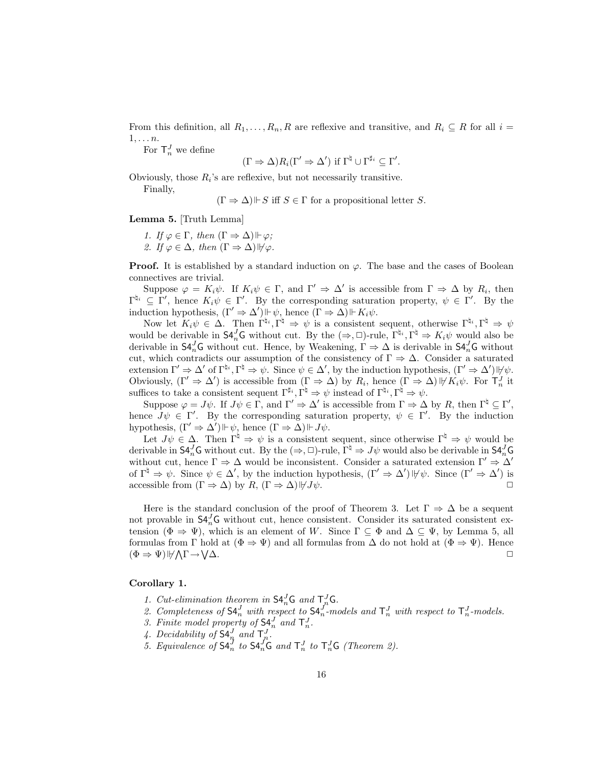From this definition, all  $R_1, \ldots, R_n, R$  are reflexive and transitive, and  $R_i \subseteq R$  for all  $i =$  $1, \ldots n$ .

For  $\mathsf{T}_{n}^{J}$  we define

$$
(\Gamma \Rightarrow \Delta) R_i(\Gamma' \Rightarrow \Delta') \text{ if } \Gamma^{\sharp} \cup \Gamma^{\sharp_i} \subseteq \Gamma'.
$$

Obviously, those  $R_i$ 's are reflexive, but not necessarily transitive.

Finally,

 $(\Gamma \Rightarrow \Delta) \Vdash S$  iff  $S \in \Gamma$  for a propositional letter S.

Lemma 5. [Truth Lemma]

1. If  $\varphi \in \Gamma$ , then  $(\Gamma \Rightarrow \Delta) \Vdash \varphi$ ; 2. If  $\varphi \in \Delta$ , then  $(\Gamma \Rightarrow \Delta)$   $\forall \varphi$ .

**Proof.** It is established by a standard induction on  $\varphi$ . The base and the cases of Boolean connectives are trivial.

Suppose  $\varphi = K_i \psi$ . If  $K_i \psi \in \Gamma$ , and  $\Gamma' \Rightarrow \Delta'$  is accessible from  $\Gamma \Rightarrow \Delta$  by  $R_i$ , then  $\Gamma^{\natural_i} \subseteq \Gamma'$ , hence  $K_i \psi \in \Gamma'$ . By the corresponding saturation property,  $\psi \in \Gamma'$ . By the induction hypothesis,  $(\Gamma' \Rightarrow \Delta') \Vdash \psi$ , hence  $(\Gamma \Rightarrow \Delta) \Vdash K_i \psi$ .

Now let  $K_i \psi \in \Delta$ . Then  $\Gamma^{\natural_i}, \Gamma^{\natural} \Rightarrow \psi$  is a consistent sequent, otherwise  $\Gamma^{\natural_i}, \Gamma^{\natural} \Rightarrow \psi$ would be derivable in  $\mathsf{S4}_n^J\mathsf{G}$  without cut. By the  $(\Rightarrow, \Box)$ -rule,  $\Gamma^{\natural_i}, \Gamma^{\natural} \Rightarrow K_i\psi$  would also be derivable in  $\mathsf{S4}_n^J\mathsf{G}$  without cut. Hence, by Weakening,  $\Gamma \Rightarrow \Delta$  is derivable in  $\mathsf{S4}_n^J\mathsf{G}$  without cut, which contradicts our assumption of the consistency of  $\Gamma \Rightarrow \Delta$ . Consider a saturated extension  $\Gamma' \Rightarrow \Delta'$  of  $\Gamma^{\natural_i}, \Gamma^{\natural} \Rightarrow \psi$ . Since  $\psi \in \Delta'$ , by the induction hypothesis,  $(\Gamma' \Rightarrow \Delta') \psi$ . Obviously,  $(\Gamma' \Rightarrow \Delta')$  is accessible from  $(\Gamma \Rightarrow \Delta)$  by  $R_i$ , hence  $(\Gamma \Rightarrow \Delta) \psi K_i \psi$ . For  $\Gamma_n^J$  it suffices to take a consistent sequent  $\Gamma^{\sharp_i}, \Gamma^{\natural} \Rightarrow \psi$  instead of  $\Gamma^{\sharp_i}, \Gamma^{\sharp} \Rightarrow \psi$ .

Suppose  $\varphi = J\psi$ . If  $J\psi \in \Gamma$ , and  $\Gamma' \Rightarrow \Delta'$  is accessible from  $\Gamma \Rightarrow \Delta$  by R, then  $\Gamma^{\natural} \subseteq \Gamma'$ , hence  $J\psi \in \Gamma'$ . By the corresponding saturation property,  $\psi \in \Gamma'$ . By the induction hypothesis,  $(\Gamma' \Rightarrow \Delta') \Vdash \psi$ , hence  $(\Gamma \Rightarrow \Delta) \Vdash J\psi$ .

Let  $J\psi \in \Delta$ . Then  $\Gamma^{\natural} \Rightarrow \psi$  is a consistent sequent, since otherwise  $\Gamma^{\natural} \Rightarrow \psi$  would be derivable in  $\mathsf{S4}_n^J\mathsf{G}$  without cut. By the  $(\Rightarrow,\Box)$ -rule,  $\Gamma^\natural \Rightarrow J\psi$  would also be derivable in  $\mathsf{S4}_n^J\mathsf{G}$ without cut, hence  $\Gamma \Rightarrow \Delta$  would be inconsistent. Consider a saturated extension  $\Gamma' \Rightarrow \Delta'$ of  $\Gamma^{\natural} \Rightarrow \psi$ . Since  $\psi \in \Delta'$ , by the induction hypothesis,  $(\Gamma' \Rightarrow \Delta') \psi$ . Since  $(\Gamma' \Rightarrow \Delta')$  is accessible from  $(\Gamma \Rightarrow \Delta)$  by  $R$ ,  $(\Gamma \Rightarrow \Delta)|\forall J\psi$ .

Here is the standard conclusion of the proof of Theorem 3. Let  $\Gamma \Rightarrow \Delta$  be a sequent not provable in  $\mathsf{S4}_{n}^{J}$ G without cut, hence consistent. Consider its saturated consistent extension ( $\Phi \Rightarrow \Psi$ ), which is an element of W. Since  $\Gamma \subseteq \Phi$  and  $\Delta \subseteq \Psi$ , by Lemma 5, all formulas from Γ hold at  $(\Phi \Rightarrow \Psi)$  and all formulas from Δ do not hold at  $(\Phi \Rightarrow \Psi)$ . Hence  $(\Phi \Rightarrow \Psi) \psi / \Gamma \rightarrow$  $\Delta$ .

#### Corollary 1.

- 1. Cut-elimination theorem in  $\mathsf{S4}_n^J\mathsf{G}$  and  $\mathsf{T}_n^J\mathsf{G}$ .
- 2. Completeness of  $\mathsf{S4}_n^J$  with respect to  $\mathsf{S4}_n^J$ -models and  $\mathsf{T}_n^J$  with respect to  $\mathsf{T}_n^J$ -models.
- 3. Finite model property of  $\mathsf{S4}_n^J$  and  $\mathsf{T}_n^J$ .
- 4. Decidability of  $\mathsf{S4}_n^J$  and  $\mathsf{T}_n^J$ .
- 5. Equivalence of  $\mathsf{S4}_n^J$  to  $\mathsf{S4}_n^J\mathsf{G}$  and  $\mathsf{T}_n^J$  to  $\mathsf{T}_n^J\mathsf{G}$  (Theorem 2).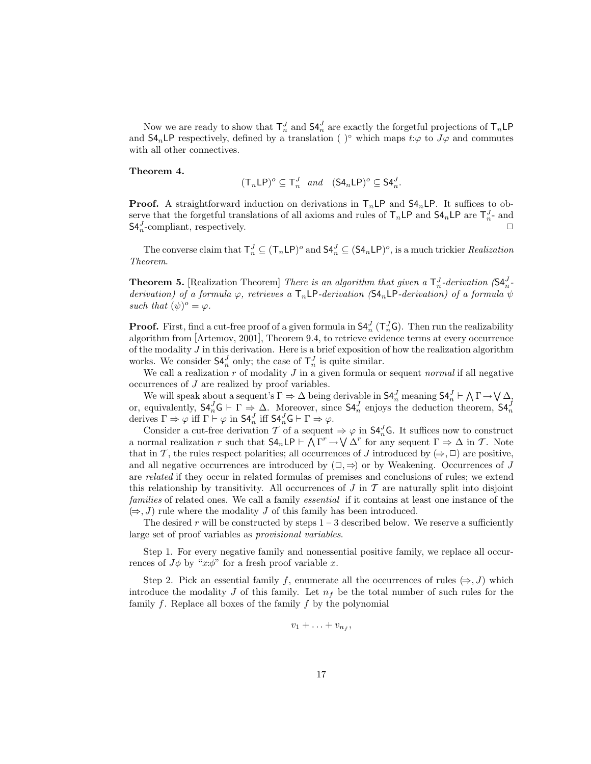Now we are ready to show that  $\mathsf{T}_n^J$  and  $\mathsf{S4}_n^J$  are exactly the forgetful projections of  $\mathsf{T}_n\mathsf{LP}$ and  $\mathsf{S4}_n\mathsf{LP}$  respectively, defined by a translation ( )° which maps  $t:\varphi$  to  $J\varphi$  and commutes with all other connectives.

#### Theorem 4.

$$
(\mathsf{T}_n \mathsf{LP})^o \subseteq \mathsf{T}_n^J \quad and \quad (\mathsf{S4}_n \mathsf{LP})^o \subseteq \mathsf{S4}_n^J.
$$

**Proof.** A straightforward induction on derivations in  $T_n\mathsf{LP}$  and  $\mathsf{S4}_n\mathsf{LP}$ . It suffices to observe that the forgetful translations of all axioms and rules of  $T_n\mathsf{LP}$  and  $\mathsf{S4}_n\mathsf{LP}$  are  $T_n^J$ - and  $S4_n^J$ -compliant, respectively.

The converse claim that  $\mathsf{T}^J_n \subseteq (\mathsf{T}_n \mathsf{LP})^o$  and  $\mathsf{S4}^J_n \subseteq (\mathsf{S4}_n \mathsf{LP})^o$ , is a much trickier *Realization* Theorem.

**Theorem 5.** [Realization Theorem] There is an algorithm that given a  $\mathsf{T}_n^J$ -derivation  $(\mathsf{S4}_n^J$ derivation) of a formula  $\varphi$ , retrieves a  $T_n L P$ -derivation (S4<sub>n</sub>LP-derivation) of a formula  $\psi$ such that  $(\psi)^o = \varphi$ .

**Proof.** First, find a cut-free proof of a given formula in  $\mathsf{S4}_n^J(\mathsf{T}_n^J\mathsf{G})$ . Then run the realizability algorithm from [Artemov, 2001], Theorem 9.4, to retrieve evidence terms at every occurrence of the modality  $J$  in this derivation. Here is a brief exposition of how the realization algorithm works. We consider  $\mathsf{S4}_n^J$  only; the case of  $\mathsf{T}_n^J$  is quite similar.

We call a realization  $r$  of modality  $J$  in a given formula or sequent normal if all negative occurrences of J are realized by proof variables.

where will speak about a sequent's  $\Gamma \Rightarrow \Delta$  being derivable in  $\mathsf{S4}_n^J$  meaning  $\mathsf{S4}_n^J \vdash \bigwedge \Gamma \rightarrow \bigvee \Delta_j$ or, equivalently,  $S4_n^J G \vdash \Gamma \Rightarrow \Delta$ . Moreover, since  $S4_n^J$  enjoys the deduction theorem,  $S4_n^J$  derives  $\Gamma \Rightarrow \varphi$  iff  $\Gamma \vdash \varphi$  in  $S4_n^J$  iff  $S4_n^J G \vdash \Gamma \Rightarrow \varphi$ .

Consider a cut-free derivation  $T$  of a sequent  $\Rightarrow \varphi$  in  $\mathsf{S4}_n^J\mathsf{G}$ . It suffices now to construct a normal realization r such that  $SA_nLP \vdash \bigwedge \Gamma^r \to \bigvee \Delta^r$  for any sequent  $\Gamma \Rightarrow \Delta$  in T. Note that in T, the rules respect polarities; all occurrences of J introduced by  $(\Rightarrow, \Box)$  are positive, and all negative occurrences are introduced by  $(\square, \Rightarrow)$  or by Weakening. Occurrences of J are related if they occur in related formulas of premises and conclusions of rules; we extend this relationship by transitivity. All occurrences of  $J$  in  $\mathcal T$  are naturally split into disjoint families of related ones. We call a family *essential* if it contains at least one instance of the  $(\Rightarrow, J)$  rule where the modality J of this family has been introduced.

The desired r will be constructed by steps  $1 - 3$  described below. We reserve a sufficiently large set of proof variables as provisional variables.

Step 1. For every negative family and nonessential positive family, we replace all occurrences of  $J\phi$  by "x: $\phi$ " for a fresh proof variable x.

Step 2. Pick an essential family f, enumerate all the occurrences of rules  $(\Rightarrow, J)$  which introduce the modality J of this family. Let  $n_f$  be the total number of such rules for the family  $f$ . Replace all boxes of the family  $f$  by the polynomial

$$
v_1+\ldots+v_{n_f},
$$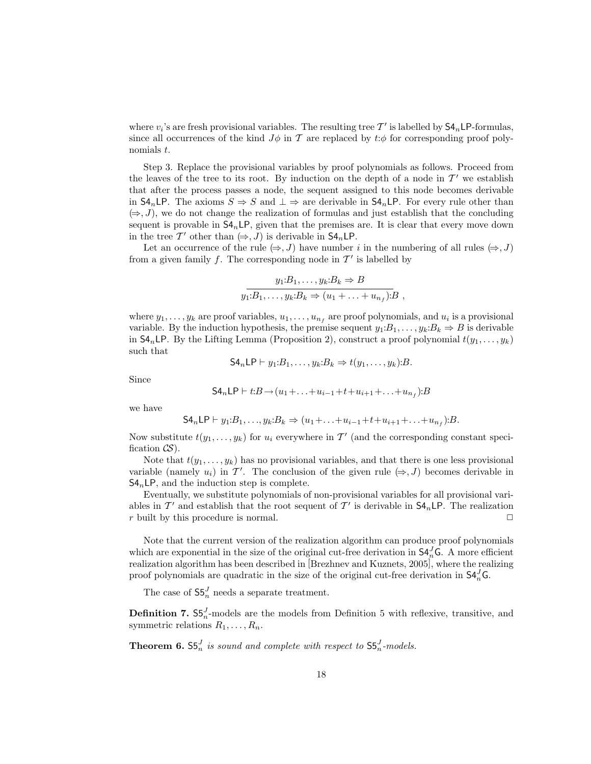where  $v_i$ 's are fresh provisional variables. The resulting tree  $\mathcal{T}'$  is labelled by  $\mathsf{S4}_n\mathsf{LP}\text{-formulas}$ , since all occurrences of the kind  $J\phi$  in T are replaced by  $t:\phi$  for corresponding proof polynomials t.

Step 3. Replace the provisional variables by proof polynomials as follows. Proceed from the leaves of the tree to its root. By induction on the depth of a node in  $\mathcal{T}'$  we establish that after the process passes a node, the sequent assigned to this node becomes derivable in  $\mathsf{S4}_n\mathsf{LP}$ . The axioms  $S \Rightarrow S$  and  $\bot \Rightarrow$  are derivable in  $\mathsf{S4}_n\mathsf{LP}$ . For every rule other than  $(\Rightarrow, J)$ , we do not change the realization of formulas and just establish that the concluding sequent is provable in  $S4_n$  LP, given that the premises are. It is clear that every move down in the tree T' other than  $(\Rightarrow, J)$  is derivable in  $\mathsf{S4}_n \mathsf{LP}$ .

Let an occurrence of the rule  $(\Rightarrow, J)$  have number i in the numbering of all rules  $(\Rightarrow, J)$ from a given family f. The corresponding node in  $\mathcal{T}'$  is labelled by

$$
y_1:B_1,\ldots,y_k:B_k \Rightarrow B
$$
  

$$
y_1:B_1,\ldots,y_k:B_k \Rightarrow (u_1+\ldots+u_{n_f}):B,
$$

where  $y_1, \ldots, y_k$  are proof variables,  $u_1, \ldots, u_{n_f}$  are proof polynomials, and  $u_i$  is a provisional variable. By the induction hypothesis, the premise sequent  $y_1:B_1,\ldots,y_k:B_k \Rightarrow B$  is derivable in  $\mathsf{S4}_n\mathsf{LP}$ . By the Lifting Lemma (Proposition 2), construct a proof polynomial  $t(y_1, \ldots, y_k)$ such that

$$
\mathsf{S4}_n\mathsf{LP}\vdash y_1\mathpunct{:}B_1,\ldots,y_k\mathpunct{:}B_k\Rightarrow t(y_1,\ldots,y_k)\mathpunct{:}B.
$$

Since

$$
S4_nLP \vdash t:B \to (u_1 + \ldots + u_{i-1} + t + u_{i+1} + \ldots + u_{n_f}):B
$$

we have

$$
S4_n \mathsf{LP} \vdash y_1 : B_1, \ldots, y_k : B_k \Rightarrow (u_1 + \ldots + u_{i-1} + t + u_{i+1} + \ldots + u_{n_f}) : B.
$$

Now substitute  $t(y_1, \ldots, y_k)$  for  $u_i$  everywhere in  $\mathcal{T}'$  (and the corresponding constant specification  $\mathcal{CS}$ ).

Note that  $t(y_1, \ldots, y_k)$  has no provisional variables, and that there is one less provisional variable (namely  $u_i$ ) in T'. The conclusion of the given rule  $(\Rightarrow, J)$  becomes derivable in  $S4<sub>n</sub>LP$ , and the induction step is complete.

Eventually, we substitute polynomials of non-provisional variables for all provisional variables in  $\mathcal{T}'$  and establish that the root sequent of  $\mathcal{T}'$  is derivable in  $\mathsf{S}4_n\mathsf{LP}$ . The realization r built by this procedure is normal.  $\square$ 

Note that the current version of the realization algorithm can produce proof polynomials which are exponential in the size of the original cut-free derivation in  $\mathsf{S4}_{n}^{J}$  G. A more efficient realization algorithm has been described in [Brezhnev and Kuznets, 2005], where the realizing proof polynomials are quadratic in the size of the original cut-free derivation in  $\mathsf{S4}_{n}^{J} \mathsf{G}$ .

The case of  $\mathsf{S5}_n^J$  needs a separate treatment.

**Definition 7.**  $S5_n^J$ -models are the models from Definition 5 with reflexive, transitive, and symmetric relations  $R_1, \ldots, R_n$ .

**Theorem 6.**  $55_n^J$  is sound and complete with respect to  $55_n^J$ -models.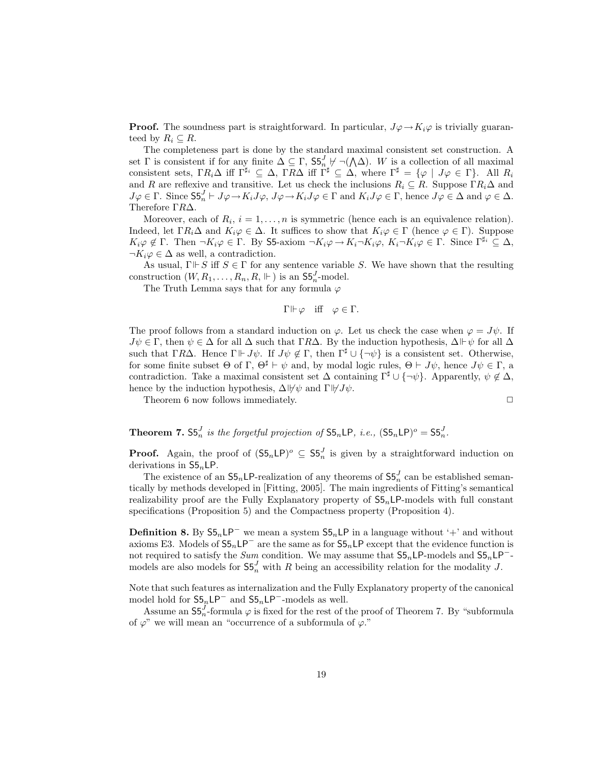**Proof.** The soundness part is straightforward. In particular,  $J\varphi \to K_i\varphi$  is trivially guaranteed by  $R_i \subseteq R$ .

The completeness part is done by the standard maximal consistent set construction. A set Γ is consistent if for any finite  $\Delta \subseteq \Gamma$ ,  $55^J_{n}$   $\neg$   $(\wedge \Delta)$ . W is a collection of all maximal consistent sets,  $\Gamma R_i \Delta$  iff  $\Gamma^{\sharp_i} \subseteq \Delta$ ,  $\Gamma R \Delta$  iff  $\Gamma^{\sharp} \subseteq \Delta$ , where  $\Gamma^{\sharp} = {\varphi \mid J\varphi \in \Gamma}$ . All  $R_i$ and R are reflexive and transitive. Let us check the inclusions  $R_i \subseteq R$ . Suppose  $\Gamma R_i \Delta$  and  $J\varphi \in \Gamma$ . Since  $S5_n^J \vdash J\varphi \to K_iJ\varphi$ ,  $J\varphi \to K_iJ\varphi \in \Gamma$  and  $K_iJ\varphi \in \Gamma$ , hence  $J\varphi \in \Delta$  and  $\varphi \in \Delta$ . Therefore ΓR∆.

Moreover, each of  $R_i$ ,  $i = 1, ..., n$  is symmetric (hence each is an equivalence relation). Indeed, let  $\Gamma R_i\Delta$  and  $K_i\varphi\in\Delta$ . It suffices to show that  $K_i\varphi\in\Gamma$  (hence  $\varphi\in\Gamma$ ). Suppose  $K_i\varphi \notin \Gamma$ . Then  $\neg K_i\varphi \in \Gamma$ . By S5-axiom  $\neg K_i\varphi \rightarrow K_i\neg K_i\varphi$ ,  $K_i\neg K_i\varphi \in \Gamma$ . Since  $\Gamma^{\sharp_i} \subseteq \Delta$ ,  $\neg K_i\varphi \in \Delta$  as well, a contradiction.

As usual,  $\Gamma \Vdash S$  iff  $S \in \Gamma$  for any sentence variable S. We have shown that the resulting construction  $(W, R_1, \ldots, R_n, R, \Vdash)$  is an  $\mathsf{S5}_n^J$ -model.

The Truth Lemma says that for any formula  $\varphi$ 

 $\Gamma \Vdash \varphi$  iff  $\varphi \in \Gamma$ .

The proof follows from a standard induction on  $\varphi$ . Let us check the case when  $\varphi = J\psi$ . If  $J\psi \in \Gamma$ , then  $\psi \in \Delta$  for all  $\Delta$  such that  $\Gamma R\Delta$ . By the induction hypothesis,  $\Delta \Vdash \psi$  for all  $\Delta$ such that ΓRΔ. Hence Γ  $\Vdash J\psi$ . If  $J\psi \notin \Gamma$ , then  $\Gamma^{\sharp} \cup {\neg \psi}$  is a consistent set. Otherwise, for some finite subset  $\Theta$  of  $\Gamma$ ,  $\Theta^{\sharp} \vdash \psi$  and, by modal logic rules,  $\Theta \vdash J\psi$ , hence  $J\psi \in \Gamma$ , a contradiction. Take a maximal consistent set  $\Delta$  containing  $\Gamma^{\sharp} \cup {\neg \psi}$ . Apparently,  $\psi \notin \Delta$ , hence by the induction hypothesis,  $\Delta \psi \psi$  and  $\Gamma \psi J \psi$ .

Theorem 6 now follows immediately.  $\Box$ 

**Theorem 7.**  $S5_n^J$  is the forgetful projection of  $S5_nLP$ , i.e.,  $(S5_nLP)^o = S5_n^J$ .

**Proof.** Again, the proof of  $(55<sub>n</sub>LP)<sup>o</sup> \subseteq 55<sub>n</sub><sup>J</sup>$  is given by a straightforward induction on derivations in  $S5<sub>n</sub>LP$ .

The existence of an  $55<sub>n</sub>LP$ -realization of any theorems of  $55<sub>n</sub><sup>J</sup>$  can be established semantically by methods developed in [Fitting, 2005]. The main ingredients of Fitting's semantical realizability proof are the Fully Explanatory property of  $S_{5n}LP$ -models with full constant specifications (Proposition 5) and the Compactness property (Proposition 4).

**Definition 8.** By  $55<sub>n</sub>LP<sup>-</sup>$  we mean a system  $55<sub>n</sub>LP$  in a language without '+' and without axioms E3. Models of  $S5<sub>n</sub>LP<sup>-</sup>$  are the same as for  $S5<sub>n</sub>LP$  except that the evidence function is not required to satisfy the Sum condition. We may assume that  $S5<sub>n</sub>LP$ -models and  $S5<sub>n</sub>LP$ <sup>-</sup>models are also models for  $\mathsf{S5}_n^J$  with R being an accessibility relation for the modality J.

Note that such features as internalization and the Fully Explanatory property of the canonical model hold for  $S5<sub>n</sub>$ LP<sup>-</sup> and  $S5<sub>n</sub>$ LP<sup>-</sup>-models as well.

Assume an  $\mathsf{S5}_{n}^{J}$ -formula  $\varphi$  is fixed for the rest of the proof of Theorem 7. By "subformula of  $\varphi$ " we will mean an "occurrence of a subformula of  $\varphi$ ."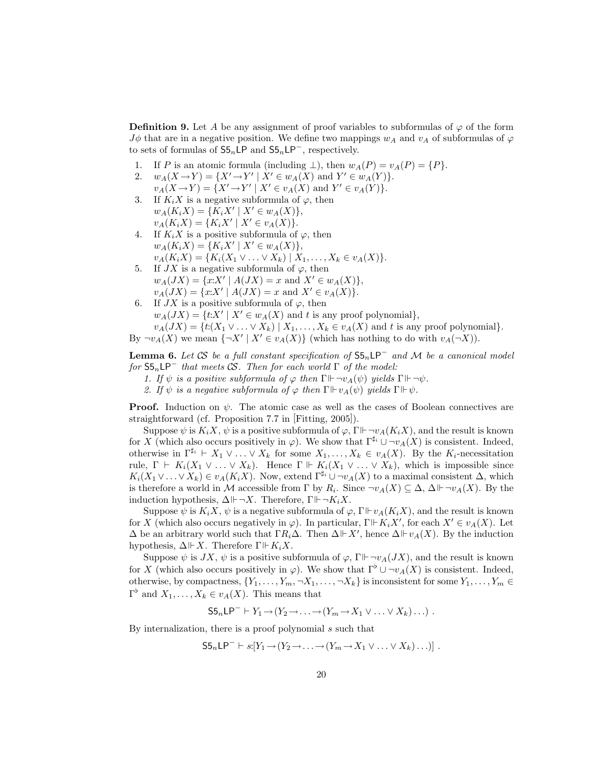**Definition 9.** Let A be any assignment of proof variables to subformulas of  $\varphi$  of the form  $J\phi$  that are in a negative position. We define two mappings  $w_A$  and  $v_A$  of subformulas of  $\varphi$ to sets of formulas of  $S5<sub>n</sub>LP$  and  $S5<sub>n</sub>LP<sup>-</sup>$ , respectively.

- 1. If P is an atomic formula (including  $\perp$ ), then  $w_A(P) = v_A(P) = \{P\}.$
- 2.  $w_A(X \to Y) = \{X' \to Y' \mid X' \in w_A(X) \text{ and } Y' \in w_A(Y)\}.$  $v_A(X \to Y) = \{X' \to Y' \mid X' \in v_A(X) \text{ and } Y' \in v_A(Y)\}.$
- 3. If  $K_i X$  is a negative subformula of  $\varphi$ , then  $w_A(K_i X) = \{K_i X' \mid X' \in w_A(X)\},\$  $v_A(K_i X) = \{K_i X' \mid X' \in v_A(X)\}.$
- 4. If  $K_i X$  is a positive subformula of  $\varphi$ , then  $w_A(K_i X) = \{K_i X' \mid X' \in w_A(X)\},\$  $v_A(K_iX) = \{K_i(X_1 \vee \ldots \vee X_k) \mid X_1, \ldots, X_k \in v_A(X)\}.$
- 5. If  $JX$  is a negative subformula of  $\varphi$ , then  $w_A(JX) = \{x:X' \mid A(JX) = x \text{ and } X' \in w_A(X)\},\$  $v_A(JX) = \{x:X' \mid A(JX) = x \text{ and } X' \in v_A(X)\}.$
- 6. If  $JX$  is a positive subformula of  $\varphi$ , then  $w_A(JX) = \{t:X' \mid X' \in w_A(X) \text{ and } t \text{ is any proof polynomial}\},\$  $v_A(JX) = \{t: (X_1 \vee \ldots \vee X_k) \mid X_1, \ldots, X_k \in v_A(X) \text{ and } t \text{ is any proof polynomial}\}.$

By  $\neg v_A(X)$  we mean  $\{\neg X' \mid X' \in v_A(X)\}\$  (which has nothing to do with  $v_A(\neg X)$ ).

**Lemma 6.** Let CS be a full constant specification of  $S5<sub>n</sub>LP<sup>-</sup>$  and M be a canonical model for  $S5<sub>n</sub>LP^-$  that meets CS. Then for each world  $\Gamma$  of the model:

1. If  $\psi$  is a positive subformula of  $\varphi$  then  $\Gamma \Vdash \neg v_A(\psi)$  yields  $\Gamma \Vdash \neg \psi$ .

2. If  $\psi$  is a negative subformula of  $\varphi$  then  $\Gamma \Vdash v_A(\psi)$  yields  $\Gamma \Vdash \psi$ .

**Proof.** Induction on  $\psi$ . The atomic case as well as the cases of Boolean connectives are straightforward (cf. Proposition 7.7 in [Fitting, 2005]).

Suppose  $\psi$  is  $K_i X$ ,  $\psi$  is a positive subformula of  $\varphi$ ,  $\Gamma \vdash \neg v_A(K_i X)$ , and the result is known for X (which also occurs positively in  $\varphi$ ). We show that  $\Gamma^{\sharp_i} \cup \neg v_A(X)$  is consistent. Indeed, otherwise in  $\Gamma^{\sharp_i} \vdash X_1 \vee \ldots \vee X_k$  for some  $X_1, \ldots, X_k \in v_A(X)$ . By the  $K_i$ -necessitation rule,  $\Gamma \vdash K_i(X_1 \vee \ldots \vee X_k)$ . Hence  $\Gamma \Vdash K_i(X_1 \vee \ldots \vee X_k)$ , which is impossible since  $K_i(X_1 \vee \ldots \vee X_k) \in v_A(K_i X)$ . Now, extend  $\Gamma^{\sharp_i} \cup \neg v_A(X)$  to a maximal consistent  $\Delta$ , which is therefore a world in M accessible from  $\Gamma$  by  $R_i$ . Since  $\neg v_A(X) \subseteq \Delta$ ,  $\Delta \Vdash \neg v_A(X)$ . By the induction hypothesis,  $\Delta \Vdash \neg X$ . Therefore,  $\Gamma \Vdash \neg K_iX$ .

Suppose  $\psi$  is  $K_iX$ ,  $\psi$  is a negative subformula of  $\varphi$ ,  $\Gamma \vdash v_A(K_iX)$ , and the result is known for X (which also occurs negatively in  $\varphi$ ). In particular,  $\Gamma \Vdash K_iX'$ , for each  $X' \in v_A(X)$ . Let  $\Delta$  be an arbitrary world such that  $\Gamma R_i \Delta$ . Then  $\Delta \Vdash X'$ , hence  $\Delta \Vdash v_A(X)$ . By the induction hypothesis,  $\Delta \Vdash X$ . Therefore  $\Gamma \Vdash K_iX$ .

Suppose  $\psi$  is  $JX$ ,  $\psi$  is a positive subformula of  $\varphi$ ,  $\Gamma \Vdash \neg v_A(JX)$ , and the result is known for X (which also occurs positively in  $\varphi$ ). We show that  $\Gamma^{\flat} \cup \neg v_A(X)$  is consistent. Indeed, otherwise, by compactness,  $\{Y_1, \ldots, Y_m, \neg X_1, \ldots, \neg X_k\}$  is inconsistent for some  $Y_1, \ldots, Y_m \in$  $\Gamma^{\flat}$  and  $X_1, \ldots, X_k \in v_A(X)$ . This means that

 $\mathsf{S5}_n\mathsf{LP}^- \vdash Y_1 \rightarrow (Y_2 \rightarrow \ldots \rightarrow (Y_m \rightarrow X_1 \vee \ldots \vee X_k) \ldots)$ .

By internalization, there is a proof polynomial s such that

$$
\mathsf{S5}_n\mathsf{LP}^- \vdash s:[Y_1 \to (Y_2 \to \ldots \to (Y_m \to X_1 \lor \ldots \lor X_k) \ldots)] .
$$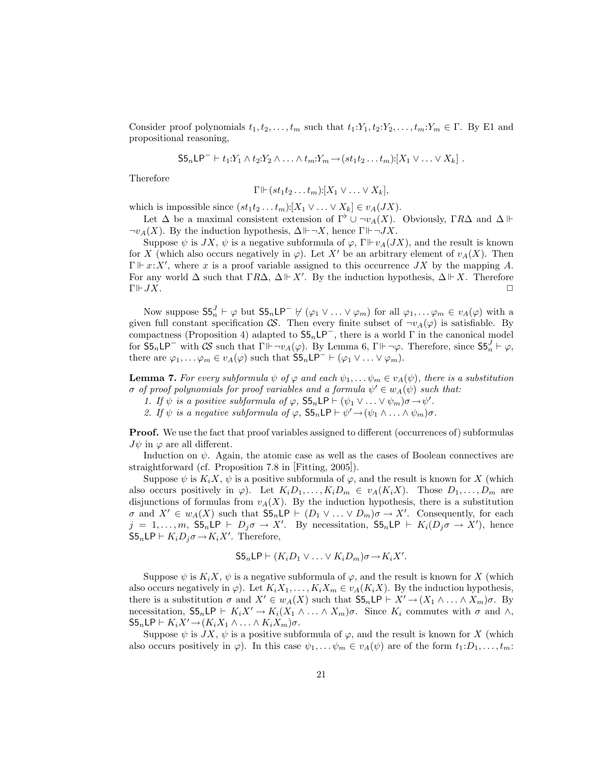Consider proof polynomials  $t_1, t_2, \ldots, t_m$  such that  $t_1:Y_1, t_2:Y_2, \ldots, t_m:Y_m \in \Gamma$ . By E1 and propositional reasoning,

$$
\mathsf{S5}_n\mathsf{LP}^- \vdash t_1:Y_1 \wedge t_2:Y_2 \wedge \ldots \wedge t_m:Y_m \to (st_1t_2 \ldots t_m):[X_1 \vee \ldots \vee X_k].
$$

Therefore

$$
\Gamma \Vdash (st_1t_2 \ldots t_m): [X_1 \vee \ldots \vee X_k],
$$

which is impossible since  $(st_1t_2...t_m): [X_1 \vee ... \vee X_k] \in v_A(JX)$ .

Let  $\Delta$  be a maximal consistent extension of  $\Gamma^{\flat} \cup \neg v_A(X)$ . Obviously,  $\Gamma R\Delta$  and  $\Delta \Vdash$  $\neg v_A(X)$ . By the induction hypothesis,  $\Delta \Vdash \neg X$ , hence  $\Gamma \Vdash \neg JX$ .

Suppose  $\psi$  is JX,  $\psi$  is a negative subformula of  $\varphi$ ,  $\Gamma \Vdash v_A(JX)$ , and the result is known for X (which also occurs negatively in  $\varphi$ ). Let X' be an arbitrary element of  $v_A(X)$ . Then  $\Gamma \Vdash x:X'$ , where x is a proof variable assigned to this occurrence JX by the mapping A. For any world  $\Delta$  such that  $\Gamma R\Delta$ ,  $\Delta \Vdash X'$ . By the induction hypothesis,  $\Delta \Vdash X$ . Therefore  $\Gamma\mathrel{\vdash} JX.$ 

Now suppose  $S5_n^J \vdash \varphi$  but  $S5_n \mathsf{LP}^- \not\vdash (\varphi_1 \vee \ldots \vee \varphi_m)$  for all  $\varphi_1, \ldots \varphi_m \in v_A(\varphi)$  with a given full constant specification  $\mathcal{CS}$ . Then every finite subset of  $\neg v_A(\varphi)$  is satisfiable. By compactness (Proposition 4) adapted to  $S5<sub>n</sub>LP<sup>-</sup>$ , there is a world Γ in the canonical model for  $S5_n \mathsf{LP}^-$  with  $\mathcal{CS}$  such that  $\Gamma \Vdash \neg v_A(\varphi)$ . By Lemma 6,  $\Gamma \Vdash \neg \varphi$ . Therefore, since  $\mathsf{S5}_n^J \vdash \varphi$ , there are  $\varphi_1, \ldots \varphi_m \in v_A(\varphi)$  such that  $\mathsf{S5}_n\mathsf{LP}^- \vdash (\varphi_1 \vee \ldots \vee \varphi_m)$ .

**Lemma 7.** For every subformula  $\psi$  of  $\varphi$  and each  $\psi_1, \dots, \psi_m \in v_A(\psi)$ , there is a substitution  $\sigma$  of proof polynomials for proof variables and a formula  $\psi' \in w_A(\psi)$  such that:

- 1. If  $\psi$  is a positive subformula of  $\varphi$ ,  $\mathsf{S5}_n \mathsf{LP} \vdash (\psi_1 \vee \ldots \vee \psi_m) \sigma \rightarrow \psi'.$
- 2. If  $\psi$  is a negative subformula of  $\varphi$ ,  $\mathsf{S5}_n \mathsf{LP} \vdash \psi' \rightarrow (\psi_1 \wedge \ldots \wedge \psi_m) \sigma$ .

Proof. We use the fact that proof variables assigned to different (occurrences of) subformulas  $J\psi$  in  $\varphi$  are all different.

Induction on  $\psi$ . Again, the atomic case as well as the cases of Boolean connectives are straightforward (cf. Proposition 7.8 in [Fitting, 2005]).

Suppose  $\psi$  is  $K_i X$ ,  $\psi$  is a positive subformula of  $\varphi$ , and the result is known for X (which also occurs positively in  $\varphi$ ). Let  $K_iD_1, \ldots, K_iD_m \in v_A(K_iX)$ . Those  $D_1, \ldots, D_m$  are disjunctions of formulas from  $v_A(X)$ . By the induction hypothesis, there is a substitution  $\sigma$  and  $X' \in w_A(X)$  such that  $\mathsf{S5}_n \mathsf{LP} \vdash (D_1 \vee \ldots \vee D_m)\sigma \to X'$ . Consequently, for each  $j = 1, \ldots, m$ ,  $S5_n \mathsf{LP} \vdash D_j \sigma \to X'$ . By necessitation,  $S5_n \mathsf{LP} \vdash K_i(D_j \sigma \to X')$ , hence  $S5_n \textsf{LP} \vdash K_i D_j \sigma \rightarrow K_i X'$ . Therefore,

$$
S5_n\mathsf{LP}\vdash (K_iD_1\vee\ldots\vee K_iD_m)\sigma\to K_iX'.
$$

Suppose  $\psi$  is  $K_i X$ ,  $\psi$  is a negative subformula of  $\varphi$ , and the result is known for X (which also occurs negatively in  $\varphi$ ). Let  $K_iX_1,\ldots,K_iX_m \in v_A(K_iX)$ . By the induction hypothesis, there is a substitution  $\sigma$  and  $X' \in w_A(X)$  such that  $S5_n\mathsf{LP} \vdash X' \to (X_1 \land \ldots \land X_m)\sigma$ . By necessitation,  $S5_n\mathsf{LP}\vdash K_iX'\to K_i(X_1\wedge\ldots\wedge X_m)\sigma$ . Since  $K_i$  commutes with  $\sigma$  and  $\wedge$ ,  $S5_n\mathsf{LP} \vdash K_iX' \rightarrow (K_iX_1 \land \ldots \land K_iX_m)\sigma.$ 

Suppose  $\psi$  is  $JX$ ,  $\psi$  is a positive subformula of  $\varphi$ , and the result is known for X (which also occurs positively in  $\varphi$ ). In this case  $\psi_1, \dots, \psi_m \in v_A(\psi)$  are of the form  $t_1: D_1, \dots, t_m$ :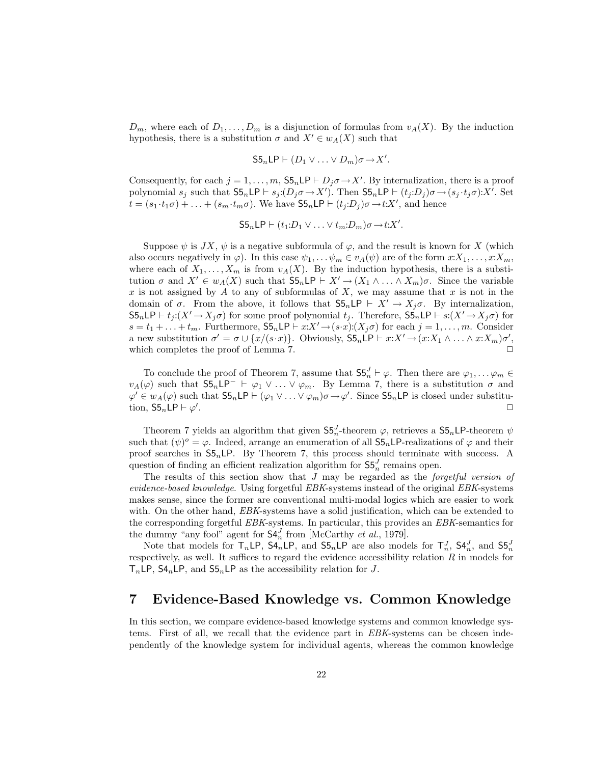$D_m$ , where each of  $D_1, \ldots, D_m$  is a disjunction of formulas from  $v_A(X)$ . By the induction hypothesis, there is a substitution  $\sigma$  and  $X' \in w_A(X)$  such that

$$
S5_n\mathsf{LP} \vdash (D_1 \vee \ldots \vee D_m)\sigma \rightarrow X'.
$$

Consequently, for each  $j = 1, ..., m$ ,  $S5_n \text{LP} \vdash D_j \sigma \rightarrow X'$ . By internalization, there is a proof polynomial  $s_j$  such that  $\mathsf{S5}_n \mathsf{LP} \vdash s_j : (D_j \sigma \to X')$ . Then  $\mathsf{S5}_n \mathsf{LP} \vdash (t_j : D_j) \sigma \to (s_j \cdot t_j \sigma) : X'$ . Set  $t = (s_1 \cdot t_1 \sigma) + \ldots + (s_m \cdot t_m \sigma)$ . We have  $\mathsf{S5}_n \mathsf{LP} \vdash (t_j \cdot D_j) \sigma \rightarrow t : X'$ , and hence

$$
S5nLP \vdash (t_1 : D_1 \vee \ldots \vee t_m : D_m) \sigma \rightarrow t : X'.
$$

Suppose  $\psi$  is  $JX$ ,  $\psi$  is a negative subformula of  $\varphi$ , and the result is known for X (which also occurs negatively in  $\varphi$ ). In this case  $\psi_1, \ldots, \psi_m \in v_A(\psi)$  are of the form  $x:X_1, \ldots, x:X_m$ , where each of  $X_1, \ldots, X_m$  is from  $v_A(X)$ . By the induction hypothesis, there is a substitution  $\sigma$  and  $X' \in w_A(X)$  such that  $\mathsf{S5}_n\mathsf{LP} \vdash X' \to (X_1 \land \ldots \land X_m)\sigma$ . Since the variable x is not assigned by A to any of subformulas of X, we may assume that x is not in the domain of  $\sigma$ . From the above, it follows that  $S5_nLP \vdash X' \to X_j\sigma$ . By internalization,  $S5_n\mathsf{LP} \vdash t_j:(X' \to X_j\sigma)$  for some proof polynomial  $t_j$ . Therefore,  $S5_n\mathsf{LP} \vdash s:(X' \to X_j\sigma)$  for  $s = t_1 + \ldots + t_m$ . Furthermore,  $\mathsf{S5}_n \mathsf{LP} \vdash x: X' \to (s \cdot x): (X_j \sigma)$  for each  $j = 1, \ldots, m$ . Consider a new substitution  $\sigma' = \sigma \cup \{x/(s \cdot x)\}\$ . Obviously,  $\mathsf{S5}_n \mathsf{LP} \vdash x : X' \to (x : X_1 \wedge \ldots \wedge x : X_m) \sigma'$ , which completes the proof of Lemma 7.  $\Box$ 

To conclude the proof of Theorem 7, assume that  $\mathsf{S5}_n^J \vdash \varphi$ . Then there are  $\varphi_1, \ldots, \varphi_m \in \mathsf{S}$  $v_A(\varphi)$  such that  $S5_n\mathsf{LP}^- \vdash \varphi_1 \vee \ldots \vee \varphi_m$ . By Lemma 7, there is a substitution  $\sigma$  and  $\varphi' \in w_A(\varphi)$  such that  $S5_n \mathsf{LP} \vdash (\varphi_1 \vee \ldots \vee \varphi_m) \sigma \to \varphi'$ . Since  $S5_n \mathsf{LP}$  is closed under substitution,  $S5_n \textsf{LP} \vdash \varphi'$ . ✷

Theorem 7 yields an algorithm that given  $S5_n^J$ -theorem  $\varphi$ , retrieves a  $S5_nLP$ -theorem  $\psi$ such that  $(\psi)^o = \varphi$ . Indeed, arrange an enumeration of all  $\mathsf{S5}_n$  LP-realizations of  $\varphi$  and their proof searches in  $55<sub>n</sub>LP$ . By Theorem 7, this process should terminate with success. A question of finding an efficient realization algorithm for  $S5_n^J$  remains open.

The results of this section show that  $J$  may be regarded as the *forgetful version of* evidence-based knowledge. Using forgetful EBK-systems instead of the original EBK-systems makes sense, since the former are conventional multi-modal logics which are easier to work with. On the other hand, *EBK*-systems have a solid justification, which can be extended to the corresponding forgetful EBK-systems. In particular, this provides an EBK-semantics for the dummy "any fool" agent for  $S4_n^J$  from [McCarthy *et al.*, 1979].

Note that models for  $T_n \textsf{LP}$ ,  $\textsf{S4}_n \textsf{LP}$ , and  $\textsf{S5}_n \textsf{LP}$  are also models for  $T_n^J$ ,  $\textsf{S4}_n^J$ , and  $\textsf{S5}_n^J$ respectively, as well. It suffices to regard the evidence accessibility relation  $R$  in models for  $T_nLP$ ,  $\mathsf{S4}_nLP$ , and  $\mathsf{S5}_nLP$  as the accessibility relation for J.

## 7 Evidence-Based Knowledge vs. Common Knowledge

In this section, we compare evidence-based knowledge systems and common knowledge systems. First of all, we recall that the evidence part in EBK-systems can be chosen independently of the knowledge system for individual agents, whereas the common knowledge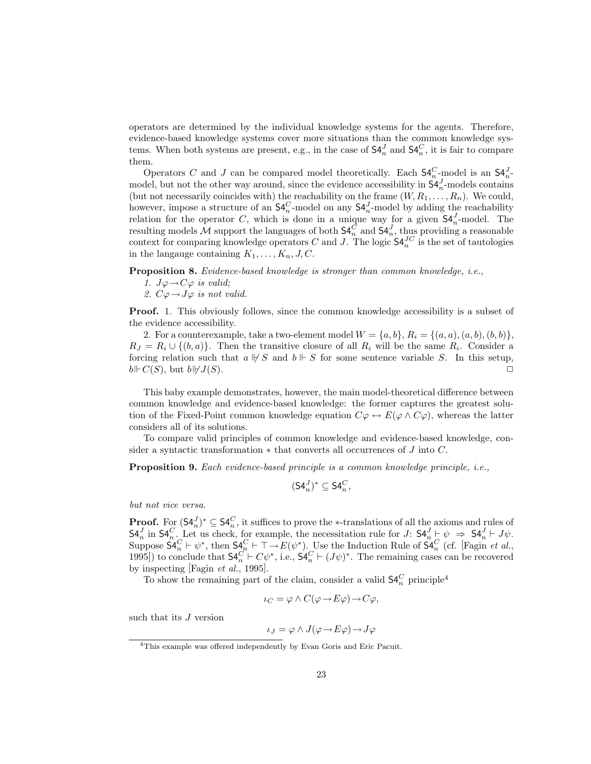operators are determined by the individual knowledge systems for the agents. Therefore, evidence-based knowledge systems cover more situations than the common knowledge systems. When both systems are present, e.g., in the case of  $\mathsf{S4}_{n}^{J}$  and  $\mathsf{S4}_{n}^{C}$ , it is fair to compare them.

Operators C and J can be compared model theoretically. Each  $\mathsf{S4}_{n}^{C}$ -model is an  $\mathsf{S4}_{n}^{J}$ model, but not the other way around, since the evidence accessibility in  $\mathsf{S4}_n^J$ -models contains (but not necessarily coincides with) the reachability on the frame  $(W, R_1, \ldots, R_n)$ . We could, however, impose a structure of an  $\mathsf{S4}_{n}^C$ -model on any  $\mathsf{S4}_{n}^J$ -model by adding the reachability relation for the operator C, which is done in a unique way for a given  $\mathsf{S4}_{n}^{J}$ -model. The resulting models M support the languages of both  $\mathsf{S4}_{n}^C$  and  $\mathsf{S4}_{n}^J$ , thus providing a reasonable context for comparing knowledge operators C and J. The logic  $\mathsf{S4}_{n}^{JC}$  is the set of tautologies in the language containing  $K_1, \ldots, K_n, J, C$ .

Proposition 8. Evidence-based knowledge is stronger than common knowledge, i.e.,

- 1.  $J\varphi \rightarrow C\varphi$  is valid;
- 2.  $C\varphi \rightarrow J\varphi$  is not valid.

Proof. 1. This obviously follows, since the common knowledge accessibility is a subset of the evidence accessibility.

2. For a counterexample, take a two-element model  $W = \{a, b\}$ ,  $R_i = \{(a, a), (a, b), (b, b)\}$ ,  $R_J = R_i \cup \{(b, a)\}.$  Then the transitive closure of all  $R_i$  will be the same  $R_i$ . Consider a forcing relation such that  $a \not\parallel S$  and  $b \not\parallel S$  for some sentence variable S. In this setup,  $b \Vdash C(S)$ , but  $b \Vdash J(S)$ .

This baby example demonstrates, however, the main model-theoretical difference between common knowledge and evidence-based knowledge: the former captures the greatest solution of the Fixed-Point common knowledge equation  $C\varphi \leftrightarrow E(\varphi \wedge C\varphi)$ , whereas the latter considers all of its solutions.

To compare valid principles of common knowledge and evidence-based knowledge, consider a syntactic transformation  $*$  that converts all occurrences of J into C.

Proposition 9. Each evidence-based principle is a common knowledge principle, i.e.,

$$
(\mathsf{S4}_n^J)^* \subseteq \mathsf{S4}_n^C,
$$

but not vice versa.

**Proof.** For  $(\mathsf{S4}_n^J)^* \subseteq \mathsf{S4}_n^C$ , it suffices to prove the \*-translations of all the axioms and rules of  $\mathsf{S4}_{n}^{J}$  in  $\mathsf{S4}_{n}^{C}$ . Let us check, for example, the necessitation rule for  $J: \mathsf{S4}_{n}^{J} \models \psi \Rightarrow \mathsf{S4}_{n}^{J} \models J\psi$ . Suppose  $\mathsf{S4}_n^C \vdash \psi^*$ , then  $\mathsf{S4}_n^C \vdash \top \rightarrow E(\psi^*)$ . Use the Induction Rule of  $\mathsf{S4}_n^C$  (cf. [Fagin *et al.*, 1995]) to conclude that  $\mathsf{S4}^{C}_{n} \vdash C\psi^*$ , i.e.,  $\mathsf{S4}^{C}_{n} \vdash (J\psi)^*$ . The remaining cases can be recovered by inspecting [Fagin et al., 1995].

To show the remaining part of the claim, consider a valid  $\mathsf{S4}^C_n$  principle<sup>4</sup>

$$
\iota_C = \varphi \wedge C(\varphi \to E\varphi) \to C\varphi,
$$

such that its J version

$$
\iota_J = \varphi \wedge J(\varphi \to E\varphi) \to J\varphi
$$

<sup>&</sup>lt;sup>4</sup>This example was offered independently by Evan Goris and Eric Pacuit.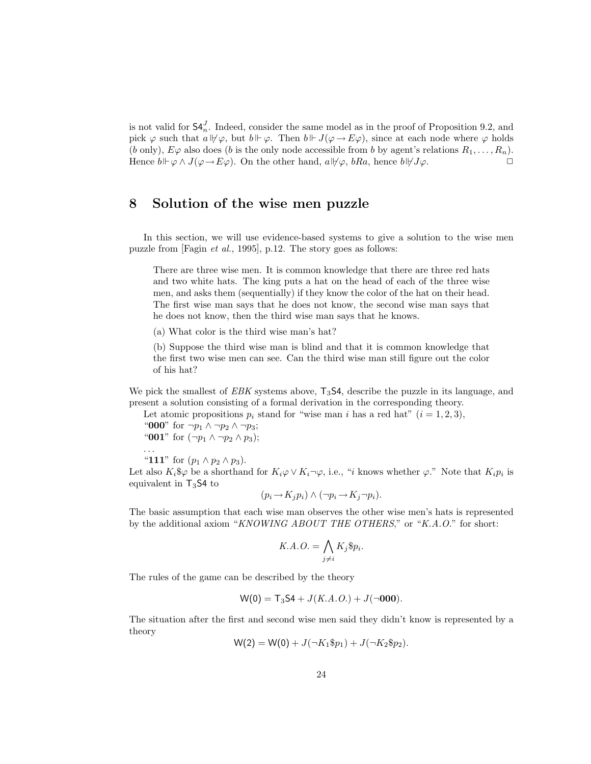is not valid for  $\mathsf{S4}_{n}^{J}$ . Indeed, consider the same model as in the proof of Proposition 9.2, and pick  $\varphi$  such that  $a \not\vdash \varphi$ , but  $b \vdash \varphi$ . Then  $b \vdash J(\varphi \rightarrow E\varphi)$ , since at each node where  $\varphi$  holds (b only),  $E\varphi$  also does (b is the only node accessible from b by agent's relations  $R_1, \ldots, R_n$ ). Hence  $b \Vdash \varphi \wedge J(\varphi \to E\varphi)$ . On the other hand,  $a \Vdash \varphi$ , bRa, hence  $b \Vdash \varphi \wedge J(\varphi \to E\varphi)$ .

## 8 Solution of the wise men puzzle

In this section, we will use evidence-based systems to give a solution to the wise men puzzle from [Fagin et al., 1995], p.12. The story goes as follows:

There are three wise men. It is common knowledge that there are three red hats and two white hats. The king puts a hat on the head of each of the three wise men, and asks them (sequentially) if they know the color of the hat on their head. The first wise man says that he does not know, the second wise man says that he does not know, then the third wise man says that he knows.

(a) What color is the third wise man's hat?

(b) Suppose the third wise man is blind and that it is common knowledge that the first two wise men can see. Can the third wise man still figure out the color of his hat?

We pick the smallest of  $EBK$  systems above,  $T_3S4$ , describe the puzzle in its language, and present a solution consisting of a formal derivation in the corresponding theory.

Let atomic propositions  $p_i$  stand for "wise man i has a red hat"  $(i = 1, 2, 3)$ ,

"000" for  $\neg p_1 \wedge \neg p_2 \wedge \neg p_3$ ; "001" for  $(\neg p_1 \land \neg p_2 \land p_3);$ 

. . .

"111" for  $(p_1 \wedge p_2 \wedge p_3)$ .

Let also  $K_i$ \$ $\varphi$  be a shorthand for  $K_i\varphi \vee K_i\neg \varphi$ , i.e., "*i* knows whether  $\varphi$ ." Note that  $K_i p_i$  is equivalent in  $T_3$ S4 to

$$
(p_i \to K_j p_i) \land (\neg p_i \to K_j \neg p_i).
$$

The basic assumption that each wise man observes the other wise men's hats is represented by the additional axiom "KNOWING ABOUT THE OTHERS," or "K.A.O." for short:

$$
K.A.O. = \bigwedge_{j \neq i} K_j \$ p_i.
$$

The rules of the game can be described by the theory

$$
W(0) = T_3S4 + J(K.A.O.) + J(\neg 000).
$$

The situation after the first and second wise men said they didn't know is represented by a theory

$$
W(2) = W(0) + J(\neg K_1 \$ p_1) + J(\neg K_2 \$ p_2).
$$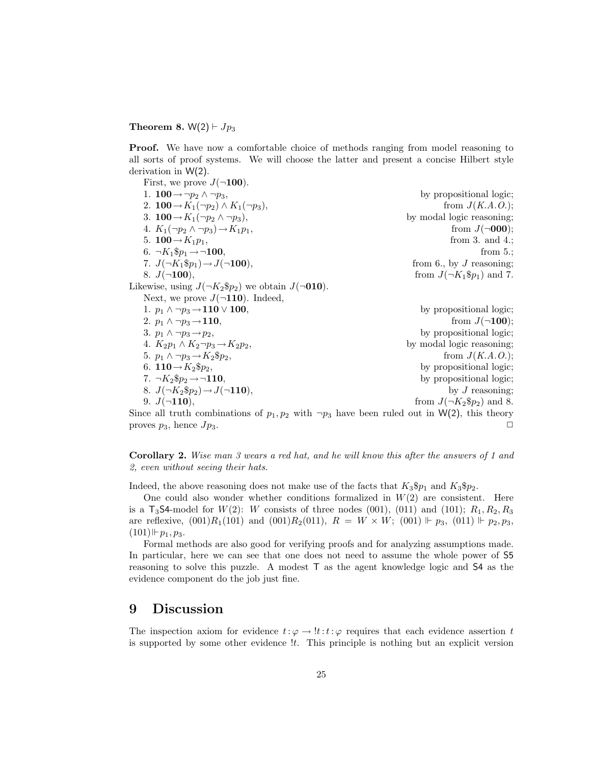#### Theorem 8.  $W(2) \vdash Jp_3$

Proof. We have now a comfortable choice of methods ranging from model reasoning to all sorts of proof systems. We will choose the latter and present a concise Hilbert style derivation in W(2).

| First, we prove $J(\neg 100)$ .                                                                    |                                  |
|----------------------------------------------------------------------------------------------------|----------------------------------|
| 1. $100 \rightarrow \neg p_2 \land \neg p_3$ ,                                                     | by propositional logic;          |
| 2. $100 \rightarrow K_1(\neg p_2) \wedge K_1(\neg p_3)$ ,                                          | from $J(K.A.O.);$                |
| 3. $100 \rightarrow K_1(\neg p_2 \wedge \neg p_3)$ ,                                               | by modal logic reasoning;        |
| 4. $K_1(\neg p_2 \wedge \neg p_3) \rightarrow K_1p_1$ ,                                            | from $J(\neg 000)$ ;             |
| 5. <b>100</b> $\rightarrow$ $K_1p_1$ ,                                                             | from 3. and 4.;                  |
| 6. $\neg K_1 \$ p_1 \rightarrow \neg \mathbf{100},$                                                | from $5$ .;                      |
| 7. $J(\neg K_1 \$ p_1) \rightarrow J(\neg 100)$ ,                                                  | from 6., by $J$ reasoning;       |
| 8. $J(\neg 100)$ ,                                                                                 | from $J(\neg K_1\$p_1)$ and 7.   |
| Likewise, using $J(\neg K_2 \$ p_2)$ we obtain $J(\neg 010)$ .                                     |                                  |
| Next, we prove $J(\neg 110)$ . Indeed,                                                             |                                  |
| 1. $p_1 \wedge \neg p_3 \rightarrow 110 \vee 100$ ,                                                | by propositional logic;          |
| 2. $p_1 \wedge \neg p_3 \rightarrow 110$ ,                                                         | from $J(\neg 100)$ ;             |
| 3. $p_1 \wedge \neg p_3 \rightarrow p_2$ ,                                                         | by propositional logic;          |
| 4. $K_2p_1 \wedge K_2\neg p_3 \rightarrow K_2p_2$                                                  | by modal logic reasoning;        |
| 5. $p_1 \wedge \neg p_3 \rightarrow K_2 \$ p_2$ ,                                                  | from $J(K.A.O.);$                |
| 6. $110 \rightarrow K_2 \$ p_2$ ,                                                                  | by propositional logic;          |
| 7. $\neg K_2 \$ p_2 \rightarrow \neg 110$ ,                                                        | by propositional logic;          |
| 8. $J(\neg K_2 \$ p_2) \rightarrow J(\neg \mathbf{110}),$                                          | by $J$ reasoning;                |
| 9. $J(\neg 110)$ ,                                                                                 | from $J(\neg K_2 \$ p_2)$ and 8. |
| Since all truth combinations of $p_1, p_2$ with $\neg p_2$ have been ruled out in W(2) this theory |                                  |

Since all truth combinations of  $p_1, p_2$  with  $\neg p_3$  have been ruled out in W(2), this theory proves  $p_3$ , hence  $Jp_3$ .

Corollary 2. Wise man 3 wears a red hat, and he will know this after the answers of 1 and 2, even without seeing their hats.

Indeed, the above reasoning does not make use of the facts that  $K_3\$p_1$  and  $K_3\$p_2$ .

One could also wonder whether conditions formalized in  $W(2)$  are consistent. Here is a  $T_3$ **S4-model for W(2): W consists of three nodes (001), (011) and (101);**  $R_1, R_2, R_3$ are reflexive,  $(001)R_1(101)$  and  $(001)R_2(011)$ ,  $R = W \times W$ ;  $(001) \Vdash p_3$ ,  $(011) \Vdash p_2, p_3$ ,  $(101)\,\vDash p_1, p_3.$ 

Formal methods are also good for verifying proofs and for analyzing assumptions made. In particular, here we can see that one does not need to assume the whole power of S5 reasoning to solve this puzzle. A modest T as the agent knowledge logic and S4 as the evidence component do the job just fine.

### 9 Discussion

The inspection axiom for evidence  $t: \varphi \to \ell : t : \varphi$  requires that each evidence assertion t is supported by some other evidence *lt*. This principle is nothing but an explicit version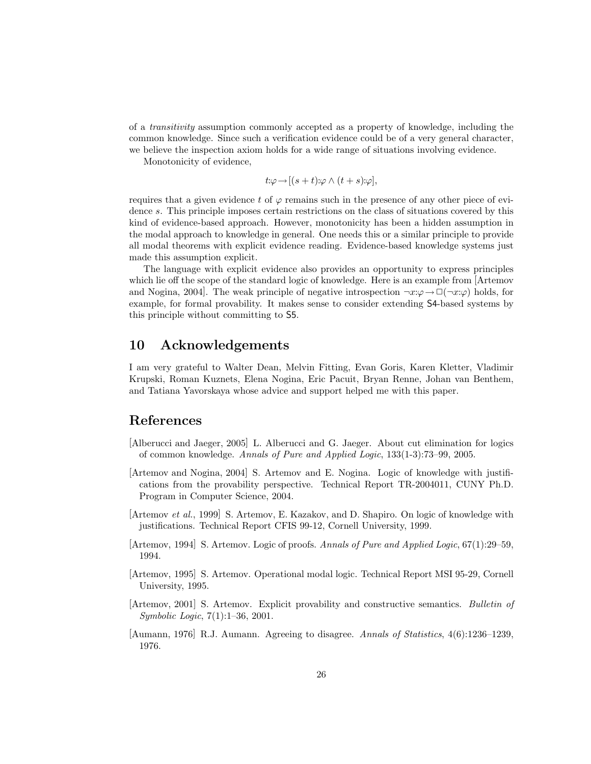of a transitivity assumption commonly accepted as a property of knowledge, including the common knowledge. Since such a verification evidence could be of a very general character, we believe the inspection axiom holds for a wide range of situations involving evidence.

Monotonicity of evidence,

$$
t:\varphi\to[(s+t):\varphi\wedge(t+s):\varphi],
$$

requires that a given evidence t of  $\varphi$  remains such in the presence of any other piece of evidence s. This principle imposes certain restrictions on the class of situations covered by this kind of evidence-based approach. However, monotonicity has been a hidden assumption in the modal approach to knowledge in general. One needs this or a similar principle to provide all modal theorems with explicit evidence reading. Evidence-based knowledge systems just made this assumption explicit.

The language with explicit evidence also provides an opportunity to express principles which lie off the scope of the standard logic of knowledge. Here is an example from [Artemov and Nogina, 2004]. The weak principle of negative introspection  $\neg x:\varphi \to \Box(\neg x:\varphi)$  holds, for example, for formal provability. It makes sense to consider extending S4-based systems by this principle without committing to S5.

#### 10 Acknowledgements

I am very grateful to Walter Dean, Melvin Fitting, Evan Goris, Karen Kletter, Vladimir Krupski, Roman Kuznets, Elena Nogina, Eric Pacuit, Bryan Renne, Johan van Benthem, and Tatiana Yavorskaya whose advice and support helped me with this paper.

## References

- [Alberucci and Jaeger, 2005] L. Alberucci and G. Jaeger. About cut elimination for logics of common knowledge. Annals of Pure and Applied Logic, 133(1-3):73–99, 2005.
- [Artemov and Nogina, 2004] S. Artemov and E. Nogina. Logic of knowledge with justifications from the provability perspective. Technical Report TR-2004011, CUNY Ph.D. Program in Computer Science, 2004.
- [Artemov et al., 1999] S. Artemov, E. Kazakov, and D. Shapiro. On logic of knowledge with justifications. Technical Report CFIS 99-12, Cornell University, 1999.
- [Artemov, 1994] S. Artemov. Logic of proofs. Annals of Pure and Applied Logic, 67(1):29–59, 1994.
- [Artemov, 1995] S. Artemov. Operational modal logic. Technical Report MSI 95-29, Cornell University, 1995.
- [Artemov, 2001] S. Artemov. Explicit provability and constructive semantics. Bulletin of Symbolic Logic, 7(1):1–36, 2001.
- [Aumann, 1976] R.J. Aumann. Agreeing to disagree. Annals of Statistics, 4(6):1236–1239, 1976.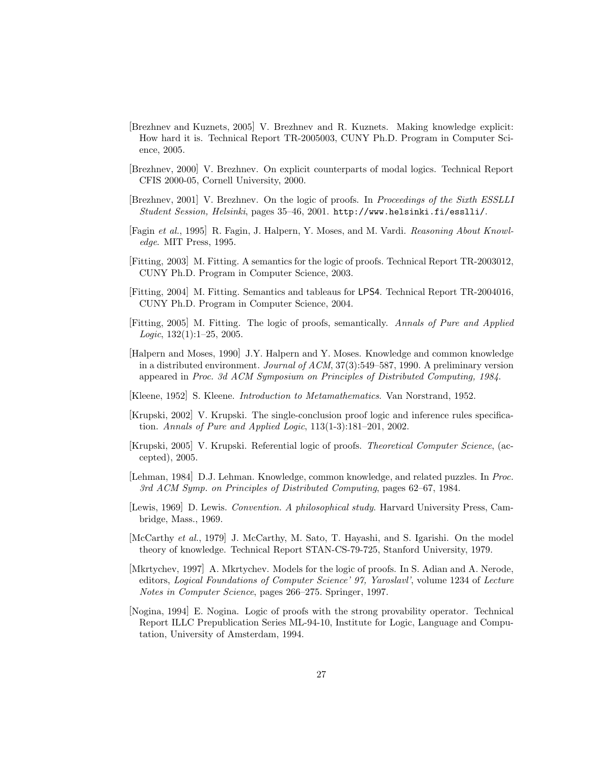- [Brezhnev and Kuznets, 2005] V. Brezhnev and R. Kuznets. Making knowledge explicit: How hard it is. Technical Report TR-2005003, CUNY Ph.D. Program in Computer Science, 2005.
- [Brezhnev, 2000] V. Brezhnev. On explicit counterparts of modal logics. Technical Report CFIS 2000-05, Cornell University, 2000.
- [Brezhnev, 2001] V. Brezhnev. On the logic of proofs. In Proceedings of the Sixth ESSLLI Student Session, Helsinki, pages 35–46, 2001. http://www.helsinki.fi/esslli/.
- [Fagin et al., 1995] R. Fagin, J. Halpern, Y. Moses, and M. Vardi. Reasoning About Knowledge. MIT Press, 1995.
- [Fitting, 2003] M. Fitting. A semantics for the logic of proofs. Technical Report TR-2003012, CUNY Ph.D. Program in Computer Science, 2003.
- [Fitting, 2004] M. Fitting. Semantics and tableaus for LPS4. Technical Report TR-2004016, CUNY Ph.D. Program in Computer Science, 2004.
- [Fitting, 2005] M. Fitting. The logic of proofs, semantically. Annals of Pure and Applied  $Logic, 132(1):1-25, 2005.$
- [Halpern and Moses, 1990] J.Y. Halpern and Y. Moses. Knowledge and common knowledge in a distributed environment. Journal of ACM, 37(3):549–587, 1990. A preliminary version appeared in Proc. 3d ACM Symposium on Principles of Distributed Computing, 1984.
- [Kleene, 1952] S. Kleene. Introduction to Metamathematics. Van Norstrand, 1952.
- [Krupski, 2002] V. Krupski. The single-conclusion proof logic and inference rules specification. Annals of Pure and Applied Logic,  $113(1-3):181-201$ ,  $2002$ .
- [Krupski, 2005] V. Krupski. Referential logic of proofs. Theoretical Computer Science, (accepted), 2005.
- [Lehman, 1984] D.J. Lehman. Knowledge, common knowledge, and related puzzles. In Proc. 3rd ACM Symp. on Principles of Distributed Computing, pages 62–67, 1984.
- [Lewis, 1969] D. Lewis. Convention. A philosophical study. Harvard University Press, Cambridge, Mass., 1969.
- [McCarthy et al., 1979] J. McCarthy, M. Sato, T. Hayashi, and S. Igarishi. On the model theory of knowledge. Technical Report STAN-CS-79-725, Stanford University, 1979.
- [Mkrtychev, 1997] A. Mkrtychev. Models for the logic of proofs. In S. Adian and A. Nerode, editors, Logical Foundations of Computer Science' 97, Yaroslavl', volume 1234 of Lecture Notes in Computer Science, pages 266–275. Springer, 1997.
- [Nogina, 1994] E. Nogina. Logic of proofs with the strong provability operator. Technical Report ILLC Prepublication Series ML-94-10, Institute for Logic, Language and Computation, University of Amsterdam, 1994.